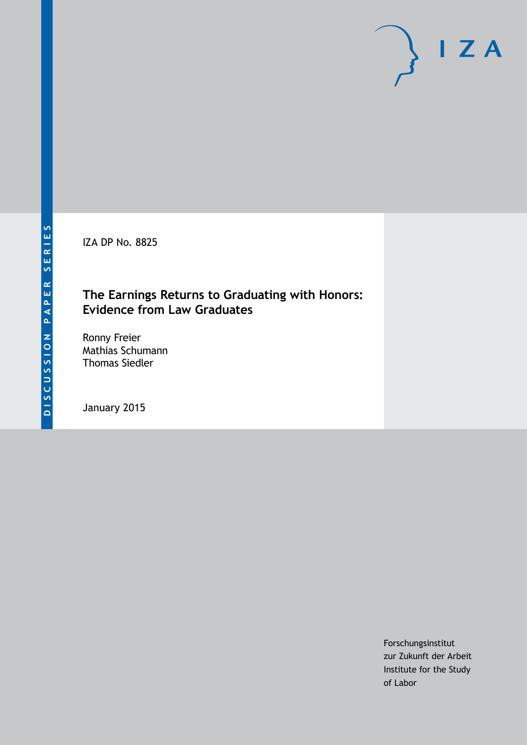IZA DP No. 8825

# **The Earnings Returns to Graduating with Honors: Evidence from Law Graduates**

Ronny Freier Mathias Schumann Thomas Siedler

January 2015

Forschungsinstitut zur Zukunft der Arbeit Institute for the Study of Labor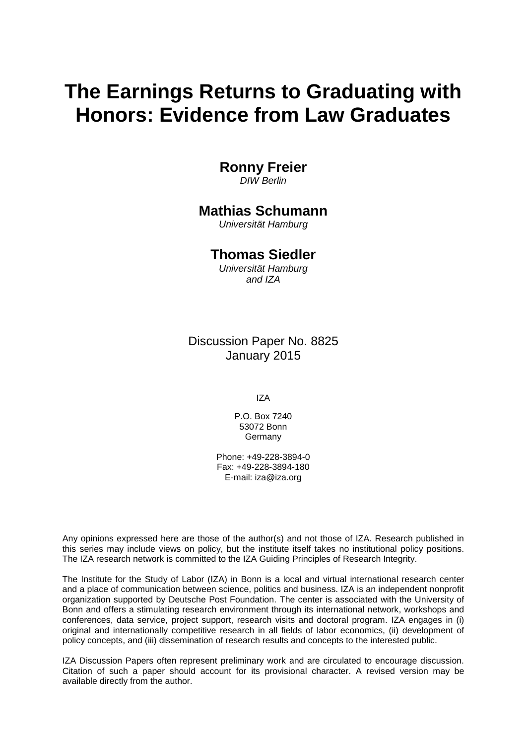# **The Earnings Returns to Graduating with Honors: Evidence from Law Graduates**

## **Ronny Freier**

*DIW Berlin*

### **Mathias Schumann**

*Universität Hamburg*

### **Thomas Siedler**

*Universität Hamburg and IZA*

Discussion Paper No. 8825 January 2015

IZA

P.O. Box 7240 53072 Bonn Germany

Phone: +49-228-3894-0 Fax: +49-228-3894-180 E-mail: [iza@iza.org](mailto:iza@iza.org)

Any opinions expressed here are those of the author(s) and not those of IZA. Research published in this series may include views on policy, but the institute itself takes no institutional policy positions. The IZA research network is committed to the IZA Guiding Principles of Research Integrity.

The Institute for the Study of Labor (IZA) in Bonn is a local and virtual international research center and a place of communication between science, politics and business. IZA is an independent nonprofit organization supported by Deutsche Post Foundation. The center is associated with the University of Bonn and offers a stimulating research environment through its international network, workshops and conferences, data service, project support, research visits and doctoral program. IZA engages in (i) original and internationally competitive research in all fields of labor economics, (ii) development of policy concepts, and (iii) dissemination of research results and concepts to the interested public.

<span id="page-1-0"></span>IZA Discussion Papers often represent preliminary work and are circulated to encourage discussion. Citation of such a paper should account for its provisional character. A revised version may be available directly from the author.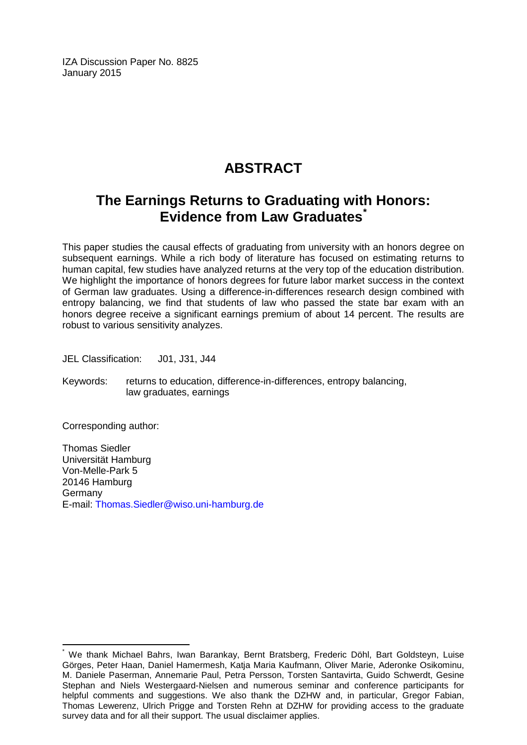IZA Discussion Paper No. 8825 January 2015

# **ABSTRACT**

# **The Earnings Returns to Graduating with Honors: Evidence from Law Graduates[\\*](#page-1-0)**

This paper studies the causal effects of graduating from university with an honors degree on subsequent earnings. While a rich body of literature has focused on estimating returns to human capital, few studies have analyzed returns at the very top of the education distribution. We highlight the importance of honors degrees for future labor market success in the context of German law graduates. Using a difference-in-differences research design combined with entropy balancing, we find that students of law who passed the state bar exam with an honors degree receive a significant earnings premium of about 14 percent. The results are robust to various sensitivity analyzes.

JEL Classification: J01, J31, J44

Keywords: returns to education, difference-in-differences, entropy balancing, law graduates, earnings

Corresponding author:

Thomas Siedler Universität Hamburg Von-Melle-Park 5 20146 Hamburg Germany E-mail: [Thomas.Siedler@wiso.uni-hamburg.de](mailto:Thomas.Siedler@wiso.uni-hamburg.de)

We thank Michael Bahrs, Iwan Barankay, Bernt Bratsberg, Frederic Döhl, Bart Goldsteyn, Luise Görges, Peter Haan, Daniel Hamermesh, Katja Maria Kaufmann, Oliver Marie, Aderonke Osikominu, M. Daniele Paserman, Annemarie Paul, Petra Persson, Torsten Santavirta, Guido Schwerdt, Gesine Stephan and Niels Westergaard-Nielsen and numerous seminar and conference participants for helpful comments and suggestions. We also thank the DZHW and, in particular, Gregor Fabian, Thomas Lewerenz, Ulrich Prigge and Torsten Rehn at DZHW for providing access to the graduate survey data and for all their support. The usual disclaimer applies.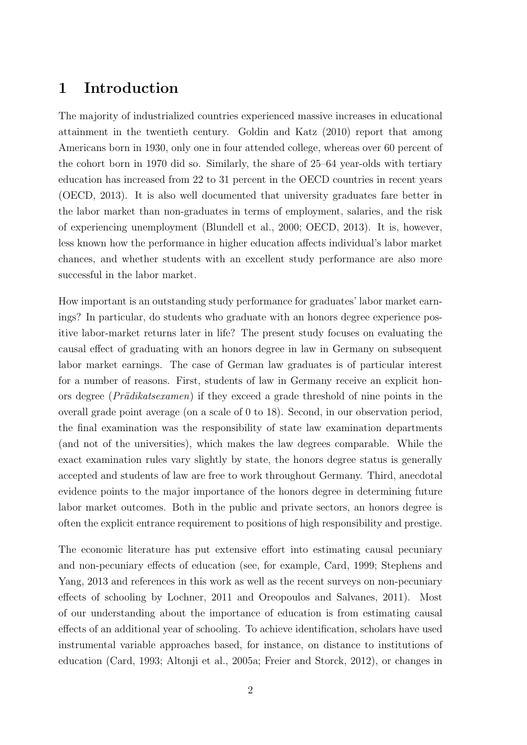# 1 Introduction

The majority of industrialized countries experienced massive increases in educational attainment in the twentieth century. Goldin and Katz (2010) report that among Americans born in 1930, only one in four attended college, whereas over 60 percent of the cohort born in 1970 did so. Similarly, the share of 25–64 year-olds with tertiary education has increased from 22 to 31 percent in the OECD countries in recent years (OECD, 2013). It is also well documented that university graduates fare better in the labor market than non-graduates in terms of employment, salaries, and the risk of experiencing unemployment (Blundell et al., 2000; OECD, 2013). It is, however, less known how the performance in higher education affects individual's labor market chances, and whether students with an excellent study performance are also more successful in the labor market.

How important is an outstanding study performance for graduates' labor market earnings? In particular, do students who graduate with an honors degree experience positive labor-market returns later in life? The present study focuses on evaluating the causal effect of graduating with an honors degree in law in Germany on subsequent labor market earnings. The case of German law graduates is of particular interest for a number of reasons. First, students of law in Germany receive an explicit honors degree (*Prädikatsexamen*) if they exceed a grade threshold of nine points in the overall grade point average (on a scale of 0 to 18). Second, in our observation period, the final examination was the responsibility of state law examination departments (and not of the universities), which makes the law degrees comparable. While the exact examination rules vary slightly by state, the honors degree status is generally accepted and students of law are free to work throughout Germany. Third, anecdotal evidence points to the major importance of the honors degree in determining future labor market outcomes. Both in the public and private sectors, an honors degree is often the explicit entrance requirement to positions of high responsibility and prestige.

The economic literature has put extensive effort into estimating causal pecuniary and non-pecuniary effects of education (see, for example, Card, 1999; Stephens and Yang, 2013 and references in this work as well as the recent surveys on non-pecuniary effects of schooling by Lochner, 2011 and Oreopoulos and Salvanes, 2011). Most of our understanding about the importance of education is from estimating causal effects of an additional year of schooling. To achieve identification, scholars have used instrumental variable approaches based, for instance, on distance to institutions of education (Card, 1993; Altonji et al., 2005a; Freier and Storck, 2012), or changes in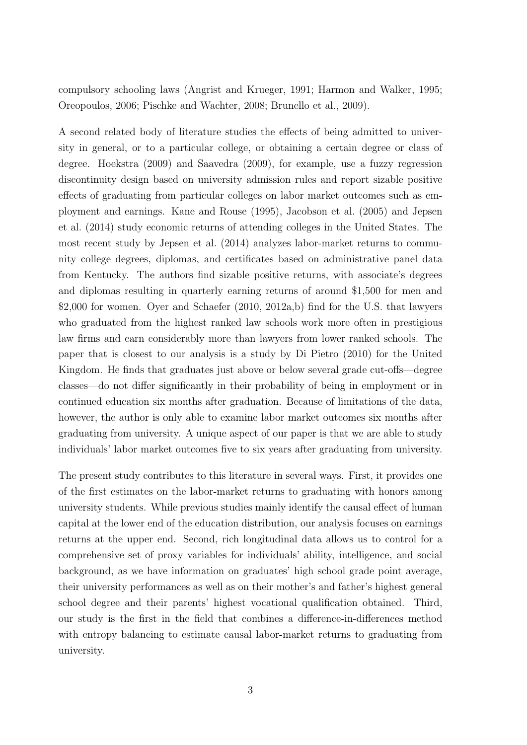compulsory schooling laws (Angrist and Krueger, 1991; Harmon and Walker, 1995; Oreopoulos, 2006; Pischke and Wachter, 2008; Brunello et al., 2009).

A second related body of literature studies the effects of being admitted to university in general, or to a particular college, or obtaining a certain degree or class of degree. Hoekstra (2009) and Saavedra (2009), for example, use a fuzzy regression discontinuity design based on university admission rules and report sizable positive effects of graduating from particular colleges on labor market outcomes such as employment and earnings. Kane and Rouse (1995), Jacobson et al. (2005) and Jepsen et al. (2014) study economic returns of attending colleges in the United States. The most recent study by Jepsen et al. (2014) analyzes labor-market returns to community college degrees, diplomas, and certificates based on administrative panel data from Kentucky. The authors find sizable positive returns, with associate's degrees and diplomas resulting in quarterly earning returns of around \$1,500 for men and \$2,000 for women. Oyer and Schaefer  $(2010, 2012a,b)$  find for the U.S. that lawyers who graduated from the highest ranked law schools work more often in prestigious law firms and earn considerably more than lawyers from lower ranked schools. The paper that is closest to our analysis is a study by Di Pietro (2010) for the United Kingdom. He finds that graduates just above or below several grade cut-offs—degree classes—do not differ significantly in their probability of being in employment or in continued education six months after graduation. Because of limitations of the data, however, the author is only able to examine labor market outcomes six months after graduating from university. A unique aspect of our paper is that we are able to study individuals' labor market outcomes five to six years after graduating from university.

The present study contributes to this literature in several ways. First, it provides one of the first estimates on the labor-market returns to graduating with honors among university students. While previous studies mainly identify the causal effect of human capital at the lower end of the education distribution, our analysis focuses on earnings returns at the upper end. Second, rich longitudinal data allows us to control for a comprehensive set of proxy variables for individuals' ability, intelligence, and social background, as we have information on graduates' high school grade point average, their university performances as well as on their mother's and father's highest general school degree and their parents' highest vocational qualification obtained. Third, our study is the first in the field that combines a difference-in-differences method with entropy balancing to estimate causal labor-market returns to graduating from university.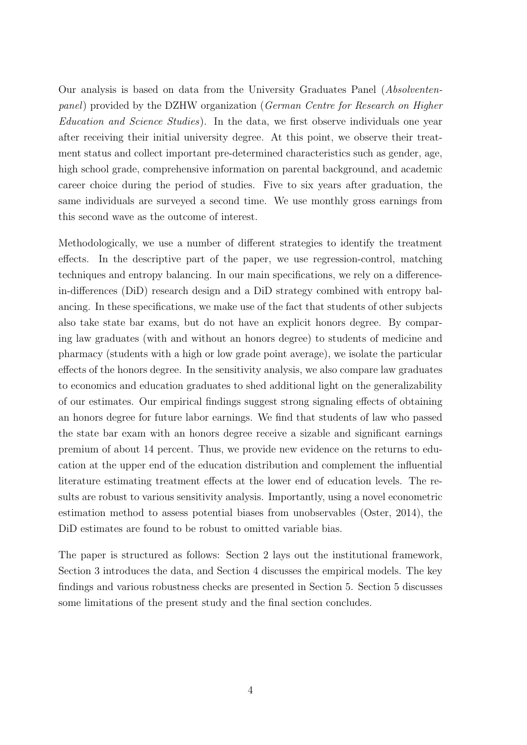Our analysis is based on data from the University Graduates Panel (Absolventenpanel) provided by the DZHW organization (German Centre for Research on Higher Education and Science Studies). In the data, we first observe individuals one year after receiving their initial university degree. At this point, we observe their treatment status and collect important pre-determined characteristics such as gender, age, high school grade, comprehensive information on parental background, and academic career choice during the period of studies. Five to six years after graduation, the same individuals are surveyed a second time. We use monthly gross earnings from this second wave as the outcome of interest.

Methodologically, we use a number of different strategies to identify the treatment effects. In the descriptive part of the paper, we use regression-control, matching techniques and entropy balancing. In our main specifications, we rely on a differencein-differences (DiD) research design and a DiD strategy combined with entropy balancing. In these specifications, we make use of the fact that students of other subjects also take state bar exams, but do not have an explicit honors degree. By comparing law graduates (with and without an honors degree) to students of medicine and pharmacy (students with a high or low grade point average), we isolate the particular effects of the honors degree. In the sensitivity analysis, we also compare law graduates to economics and education graduates to shed additional light on the generalizability of our estimates. Our empirical findings suggest strong signaling effects of obtaining an honors degree for future labor earnings. We find that students of law who passed the state bar exam with an honors degree receive a sizable and significant earnings premium of about 14 percent. Thus, we provide new evidence on the returns to education at the upper end of the education distribution and complement the influential literature estimating treatment effects at the lower end of education levels. The results are robust to various sensitivity analysis. Importantly, using a novel econometric estimation method to assess potential biases from unobservables (Oster, 2014), the DiD estimates are found to be robust to omitted variable bias.

The paper is structured as follows: Section 2 lays out the institutional framework, Section 3 introduces the data, and Section 4 discusses the empirical models. The key findings and various robustness checks are presented in Section 5. Section 5 discusses some limitations of the present study and the final section concludes.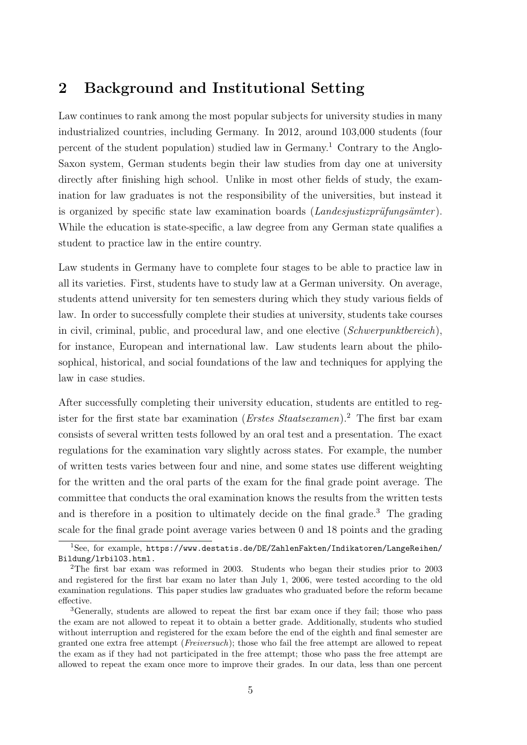# 2 Background and Institutional Setting

Law continues to rank among the most popular subjects for university studies in many industrialized countries, including Germany. In 2012, around 103,000 students (four percent of the student population) studied law in Germany.<sup>1</sup> Contrary to the Anglo-Saxon system, German students begin their law studies from day one at university directly after finishing high school. Unlike in most other fields of study, the examination for law graduates is not the responsibility of the universities, but instead it is organized by specific state law examination boards (*Landesjustizprüfungsämter*). While the education is state-specific, a law degree from any German state qualifies a student to practice law in the entire country.

Law students in Germany have to complete four stages to be able to practice law in all its varieties. First, students have to study law at a German university. On average, students attend university for ten semesters during which they study various fields of law. In order to successfully complete their studies at university, students take courses in civil, criminal, public, and procedural law, and one elective (*Schwerpunktbereich*), for instance, European and international law. Law students learn about the philosophical, historical, and social foundations of the law and techniques for applying the law in case studies.

After successfully completing their university education, students are entitled to register for the first state bar examination (*Erstes Staatsexamen*).<sup>2</sup> The first bar exam consists of several written tests followed by an oral test and a presentation. The exact regulations for the examination vary slightly across states. For example, the number of written tests varies between four and nine, and some states use different weighting for the written and the oral parts of the exam for the final grade point average. The committee that conducts the oral examination knows the results from the written tests and is therefore in a position to ultimately decide on the final grade.<sup>3</sup> The grading scale for the final grade point average varies between 0 and 18 points and the grading

<sup>1</sup>See, for example, https://www.destatis.de/DE/ZahlenFakten/Indikatoren/LangeReihen/ Bildung/lrbil03.html.

<sup>2</sup>The first bar exam was reformed in 2003. Students who began their studies prior to 2003 and registered for the first bar exam no later than July 1, 2006, were tested according to the old examination regulations. This paper studies law graduates who graduated before the reform became effective.

<sup>3</sup>Generally, students are allowed to repeat the first bar exam once if they fail; those who pass the exam are not allowed to repeat it to obtain a better grade. Additionally, students who studied without interruption and registered for the exam before the end of the eighth and final semester are granted one extra free attempt (Freiversuch); those who fail the free attempt are allowed to repeat the exam as if they had not participated in the free attempt; those who pass the free attempt are allowed to repeat the exam once more to improve their grades. In our data, less than one percent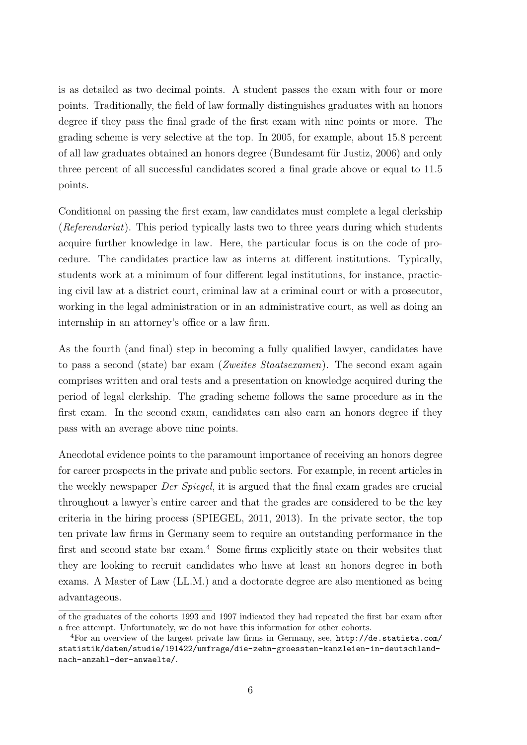is as detailed as two decimal points. A student passes the exam with four or more points. Traditionally, the field of law formally distinguishes graduates with an honors degree if they pass the final grade of the first exam with nine points or more. The grading scheme is very selective at the top. In 2005, for example, about 15.8 percent of all law graduates obtained an honors degree (Bundesamt für Justiz, 2006) and only three percent of all successful candidates scored a final grade above or equal to 11.5 points.

Conditional on passing the first exam, law candidates must complete a legal clerkship (Referendariat). This period typically lasts two to three years during which students acquire further knowledge in law. Here, the particular focus is on the code of procedure. The candidates practice law as interns at different institutions. Typically, students work at a minimum of four different legal institutions, for instance, practicing civil law at a district court, criminal law at a criminal court or with a prosecutor, working in the legal administration or in an administrative court, as well as doing an internship in an attorney's office or a law firm.

As the fourth (and final) step in becoming a fully qualified lawyer, candidates have to pass a second (state) bar exam (Zweites Staatsexamen). The second exam again comprises written and oral tests and a presentation on knowledge acquired during the period of legal clerkship. The grading scheme follows the same procedure as in the first exam. In the second exam, candidates can also earn an honors degree if they pass with an average above nine points.

Anecdotal evidence points to the paramount importance of receiving an honors degree for career prospects in the private and public sectors. For example, in recent articles in the weekly newspaper Der Spiegel, it is argued that the final exam grades are crucial throughout a lawyer's entire career and that the grades are considered to be the key criteria in the hiring process (SPIEGEL, 2011, 2013). In the private sector, the top ten private law firms in Germany seem to require an outstanding performance in the first and second state bar exam.<sup>4</sup> Some firms explicitly state on their websites that they are looking to recruit candidates who have at least an honors degree in both exams. A Master of Law (LL.M.) and a doctorate degree are also mentioned as being advantageous.

of the graduates of the cohorts 1993 and 1997 indicated they had repeated the first bar exam after a free attempt. Unfortunately, we do not have this information for other cohorts.

<sup>4</sup>For an overview of the largest private law firms in Germany, see, http://de.statista.com/ statistik/daten/studie/191422/umfrage/die-zehn-groessten-kanzleien-in-deutschlandnach-anzahl-der-anwaelte/.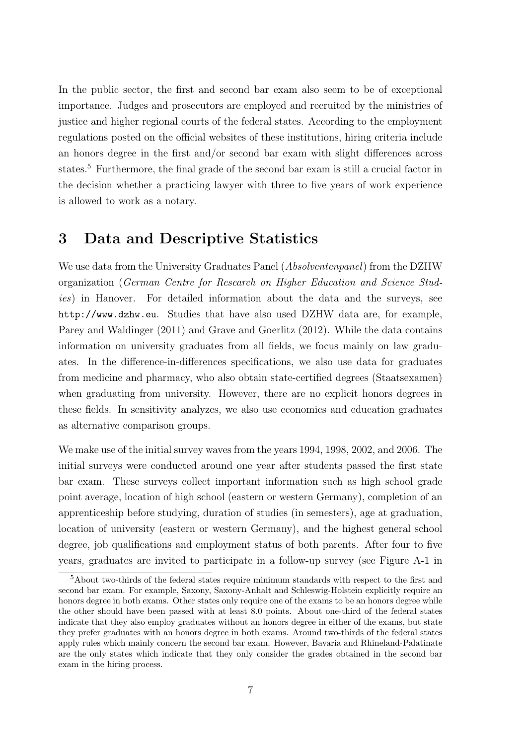In the public sector, the first and second bar exam also seem to be of exceptional importance. Judges and prosecutors are employed and recruited by the ministries of justice and higher regional courts of the federal states. According to the employment regulations posted on the official websites of these institutions, hiring criteria include an honors degree in the first and/or second bar exam with slight differences across states.<sup>5</sup> Furthermore, the final grade of the second bar exam is still a crucial factor in the decision whether a practicing lawyer with three to five years of work experience is allowed to work as a notary.

# 3 Data and Descriptive Statistics

We use data from the University Graduates Panel (*Absolventenpanel*) from the DZHW organization (German Centre for Research on Higher Education and Science Studies) in Hanover. For detailed information about the data and the surveys, see http://www.dzhw.eu. Studies that have also used DZHW data are, for example, Parey and Waldinger (2011) and Grave and Goerlitz (2012). While the data contains information on university graduates from all fields, we focus mainly on law graduates. In the difference-in-differences specifications, we also use data for graduates from medicine and pharmacy, who also obtain state-certified degrees (Staatsexamen) when graduating from university. However, there are no explicit honors degrees in these fields. In sensitivity analyzes, we also use economics and education graduates as alternative comparison groups.

We make use of the initial survey waves from the years 1994, 1998, 2002, and 2006. The initial surveys were conducted around one year after students passed the first state bar exam. These surveys collect important information such as high school grade point average, location of high school (eastern or western Germany), completion of an apprenticeship before studying, duration of studies (in semesters), age at graduation, location of university (eastern or western Germany), and the highest general school degree, job qualifications and employment status of both parents. After four to five years, graduates are invited to participate in a follow-up survey (see Figure A-1 in

<sup>&</sup>lt;sup>5</sup>About two-thirds of the federal states require minimum standards with respect to the first and second bar exam. For example, Saxony, Saxony-Anhalt and Schleswig-Holstein explicitly require an honors degree in both exams. Other states only require one of the exams to be an honors degree while the other should have been passed with at least 8.0 points. About one-third of the federal states indicate that they also employ graduates without an honors degree in either of the exams, but state they prefer graduates with an honors degree in both exams. Around two-thirds of the federal states apply rules which mainly concern the second bar exam. However, Bavaria and Rhineland-Palatinate are the only states which indicate that they only consider the grades obtained in the second bar exam in the hiring process.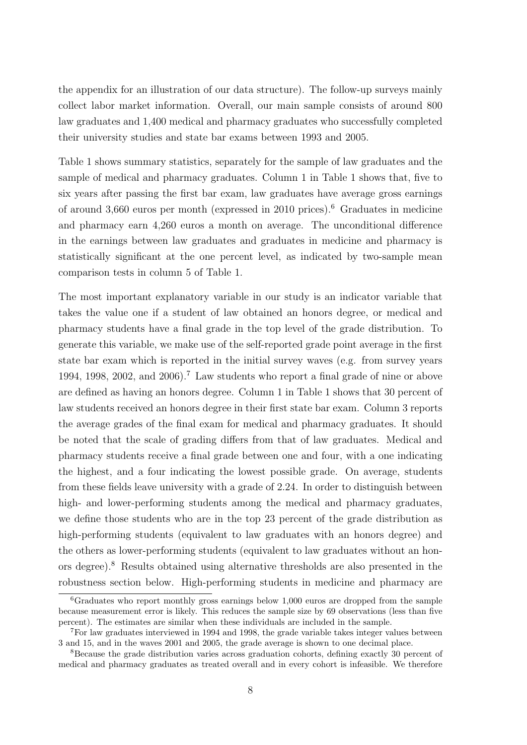the appendix for an illustration of our data structure). The follow-up surveys mainly collect labor market information. Overall, our main sample consists of around 800 law graduates and 1,400 medical and pharmacy graduates who successfully completed their university studies and state bar exams between 1993 and 2005.

Table 1 shows summary statistics, separately for the sample of law graduates and the sample of medical and pharmacy graduates. Column 1 in Table 1 shows that, five to six years after passing the first bar exam, law graduates have average gross earnings of around 3,660 euros per month (expressed in 2010 prices).<sup>6</sup> Graduates in medicine and pharmacy earn 4,260 euros a month on average. The unconditional difference in the earnings between law graduates and graduates in medicine and pharmacy is statistically significant at the one percent level, as indicated by two-sample mean comparison tests in column 5 of Table 1.

The most important explanatory variable in our study is an indicator variable that takes the value one if a student of law obtained an honors degree, or medical and pharmacy students have a final grade in the top level of the grade distribution. To generate this variable, we make use of the self-reported grade point average in the first state bar exam which is reported in the initial survey waves (e.g. from survey years 1994, 1998, 2002, and 2006).<sup>7</sup> Law students who report a final grade of nine or above are defined as having an honors degree. Column 1 in Table 1 shows that 30 percent of law students received an honors degree in their first state bar exam. Column 3 reports the average grades of the final exam for medical and pharmacy graduates. It should be noted that the scale of grading differs from that of law graduates. Medical and pharmacy students receive a final grade between one and four, with a one indicating the highest, and a four indicating the lowest possible grade. On average, students from these fields leave university with a grade of 2.24. In order to distinguish between high- and lower-performing students among the medical and pharmacy graduates, we define those students who are in the top 23 percent of the grade distribution as high-performing students (equivalent to law graduates with an honors degree) and the others as lower-performing students (equivalent to law graduates without an honors degree).<sup>8</sup> Results obtained using alternative thresholds are also presented in the robustness section below. High-performing students in medicine and pharmacy are

<sup>6</sup>Graduates who report monthly gross earnings below 1,000 euros are dropped from the sample because measurement error is likely. This reduces the sample size by 69 observations (less than five percent). The estimates are similar when these individuals are included in the sample.

<sup>7</sup>For law graduates interviewed in 1994 and 1998, the grade variable takes integer values between 3 and 15, and in the waves 2001 and 2005, the grade average is shown to one decimal place.

<sup>8</sup>Because the grade distribution varies across graduation cohorts, defining exactly 30 percent of medical and pharmacy graduates as treated overall and in every cohort is infeasible. We therefore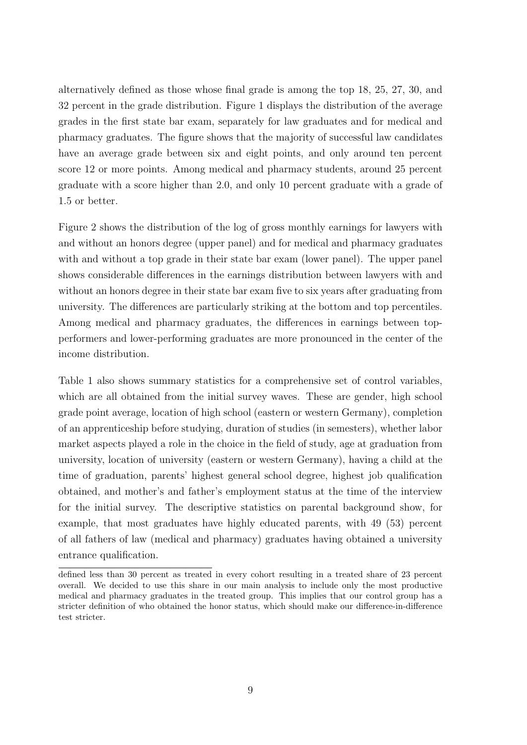alternatively defined as those whose final grade is among the top 18, 25, 27, 30, and 32 percent in the grade distribution. Figure 1 displays the distribution of the average grades in the first state bar exam, separately for law graduates and for medical and pharmacy graduates. The figure shows that the majority of successful law candidates have an average grade between six and eight points, and only around ten percent score 12 or more points. Among medical and pharmacy students, around 25 percent graduate with a score higher than 2.0, and only 10 percent graduate with a grade of 1.5 or better.

Figure 2 shows the distribution of the log of gross monthly earnings for lawyers with and without an honors degree (upper panel) and for medical and pharmacy graduates with and without a top grade in their state bar exam (lower panel). The upper panel shows considerable differences in the earnings distribution between lawyers with and without an honors degree in their state bar exam five to six years after graduating from university. The differences are particularly striking at the bottom and top percentiles. Among medical and pharmacy graduates, the differences in earnings between topperformers and lower-performing graduates are more pronounced in the center of the income distribution.

Table 1 also shows summary statistics for a comprehensive set of control variables, which are all obtained from the initial survey waves. These are gender, high school grade point average, location of high school (eastern or western Germany), completion of an apprenticeship before studying, duration of studies (in semesters), whether labor market aspects played a role in the choice in the field of study, age at graduation from university, location of university (eastern or western Germany), having a child at the time of graduation, parents' highest general school degree, highest job qualification obtained, and mother's and father's employment status at the time of the interview for the initial survey. The descriptive statistics on parental background show, for example, that most graduates have highly educated parents, with 49 (53) percent of all fathers of law (medical and pharmacy) graduates having obtained a university entrance qualification.

defined less than 30 percent as treated in every cohort resulting in a treated share of 23 percent overall. We decided to use this share in our main analysis to include only the most productive medical and pharmacy graduates in the treated group. This implies that our control group has a stricter definition of who obtained the honor status, which should make our difference-in-difference test stricter.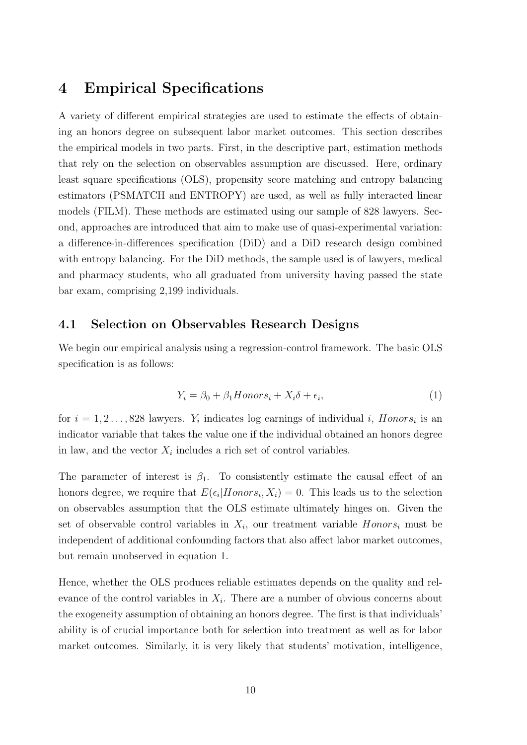# 4 Empirical Specifications

A variety of different empirical strategies are used to estimate the effects of obtaining an honors degree on subsequent labor market outcomes. This section describes the empirical models in two parts. First, in the descriptive part, estimation methods that rely on the selection on observables assumption are discussed. Here, ordinary least square specifications (OLS), propensity score matching and entropy balancing estimators (PSMATCH and ENTROPY) are used, as well as fully interacted linear models (FILM). These methods are estimated using our sample of 828 lawyers. Second, approaches are introduced that aim to make use of quasi-experimental variation: a difference-in-differences specification (DiD) and a DiD research design combined with entropy balancing. For the DiD methods, the sample used is of lawyers, medical and pharmacy students, who all graduated from university having passed the state bar exam, comprising 2,199 individuals.

#### 4.1 Selection on Observables Research Designs

We begin our empirical analysis using a regression-control framework. The basic OLS specification is as follows:

$$
Y_i = \beta_0 + \beta_1 \text{Honors}_i + X_i \delta + \epsilon_i,\tag{1}
$$

for  $i = 1, 2, \ldots, 828$  lawyers.  $Y_i$  indicates log earnings of individual i,  $Honors_i$  is an indicator variable that takes the value one if the individual obtained an honors degree in law, and the vector  $X_i$  includes a rich set of control variables.

The parameter of interest is  $\beta_1$ . To consistently estimate the causal effect of an honors degree, we require that  $E(\epsilon_i | Homors_i, X_i) = 0$ . This leads us to the selection on observables assumption that the OLS estimate ultimately hinges on. Given the set of observable control variables in  $X_i$ , our treatment variable  $Honors_i$  must be independent of additional confounding factors that also affect labor market outcomes, but remain unobserved in equation 1.

Hence, whether the OLS produces reliable estimates depends on the quality and relevance of the control variables in  $X_i$ . There are a number of obvious concerns about the exogeneity assumption of obtaining an honors degree. The first is that individuals' ability is of crucial importance both for selection into treatment as well as for labor market outcomes. Similarly, it is very likely that students' motivation, intelligence,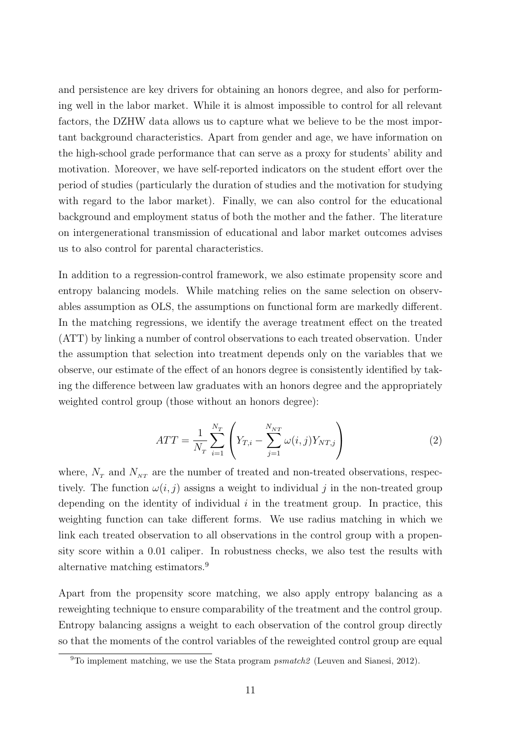and persistence are key drivers for obtaining an honors degree, and also for performing well in the labor market. While it is almost impossible to control for all relevant factors, the DZHW data allows us to capture what we believe to be the most important background characteristics. Apart from gender and age, we have information on the high-school grade performance that can serve as a proxy for students' ability and motivation. Moreover, we have self-reported indicators on the student effort over the period of studies (particularly the duration of studies and the motivation for studying with regard to the labor market). Finally, we can also control for the educational background and employment status of both the mother and the father. The literature on intergenerational transmission of educational and labor market outcomes advises us to also control for parental characteristics.

In addition to a regression-control framework, we also estimate propensity score and entropy balancing models. While matching relies on the same selection on observables assumption as OLS, the assumptions on functional form are markedly different. In the matching regressions, we identify the average treatment effect on the treated (ATT) by linking a number of control observations to each treated observation. Under the assumption that selection into treatment depends only on the variables that we observe, our estimate of the effect of an honors degree is consistently identified by taking the difference between law graduates with an honors degree and the appropriately weighted control group (those without an honors degree):

$$
ATT = \frac{1}{N_T} \sum_{i=1}^{N_T} \left( Y_{T,i} - \sum_{j=1}^{N_{NT}} \omega(i,j) Y_{NT,j} \right)
$$
 (2)

where,  $N_T$  and  $N_{NT}$  are the number of treated and non-treated observations, respectively. The function  $\omega(i, j)$  assigns a weight to individual j in the non-treated group depending on the identity of individual  $i$  in the treatment group. In practice, this weighting function can take different forms. We use radius matching in which we link each treated observation to all observations in the control group with a propensity score within a 0.01 caliper. In robustness checks, we also test the results with alternative matching estimators.<sup>9</sup>

Apart from the propensity score matching, we also apply entropy balancing as a reweighting technique to ensure comparability of the treatment and the control group. Entropy balancing assigns a weight to each observation of the control group directly so that the moments of the control variables of the reweighted control group are equal

 $\overline{^{9}T}$ o implement matching, we use the Stata program psmatch 2 (Leuven and Sianesi, 2012).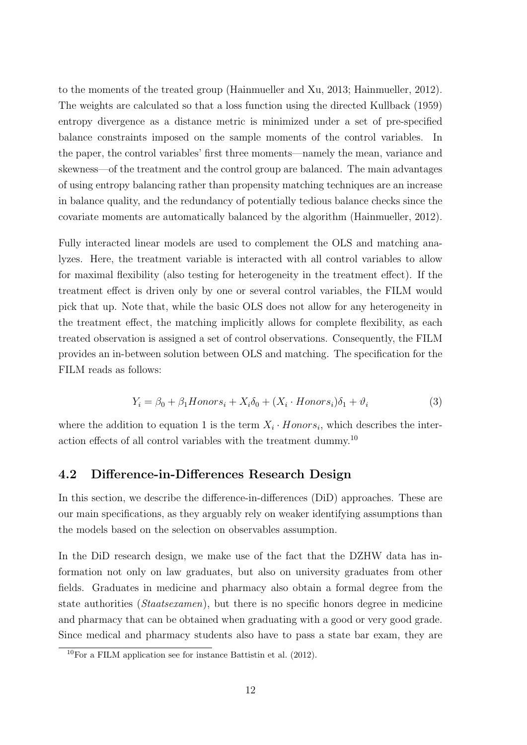to the moments of the treated group (Hainmueller and Xu, 2013; Hainmueller, 2012). The weights are calculated so that a loss function using the directed Kullback (1959) entropy divergence as a distance metric is minimized under a set of pre-specified balance constraints imposed on the sample moments of the control variables. In the paper, the control variables' first three moments—namely the mean, variance and skewness—of the treatment and the control group are balanced. The main advantages of using entropy balancing rather than propensity matching techniques are an increase in balance quality, and the redundancy of potentially tedious balance checks since the covariate moments are automatically balanced by the algorithm (Hainmueller, 2012).

Fully interacted linear models are used to complement the OLS and matching analyzes. Here, the treatment variable is interacted with all control variables to allow for maximal flexibility (also testing for heterogeneity in the treatment effect). If the treatment effect is driven only by one or several control variables, the FILM would pick that up. Note that, while the basic OLS does not allow for any heterogeneity in the treatment effect, the matching implicitly allows for complete flexibility, as each treated observation is assigned a set of control observations. Consequently, the FILM provides an in-between solution between OLS and matching. The specification for the FILM reads as follows:

$$
Y_i = \beta_0 + \beta_1 \text{Honors}_i + X_i \delta_0 + (X_i \cdot \text{Honors}_i) \delta_1 + \vartheta_i \tag{3}
$$

where the addition to equation 1 is the term  $X_i \cdot Honor_i$ , which describes the interaction effects of all control variables with the treatment dummy.<sup>10</sup>

#### 4.2 Difference-in-Differences Research Design

In this section, we describe the difference-in-differences (DiD) approaches. These are our main specifications, as they arguably rely on weaker identifying assumptions than the models based on the selection on observables assumption.

In the DiD research design, we make use of the fact that the DZHW data has information not only on law graduates, but also on university graduates from other fields. Graduates in medicine and pharmacy also obtain a formal degree from the state authorities (Staatsexamen), but there is no specific honors degree in medicine and pharmacy that can be obtained when graduating with a good or very good grade. Since medical and pharmacy students also have to pass a state bar exam, they are

 $10$ For a FILM application see for instance Battistin et al. (2012).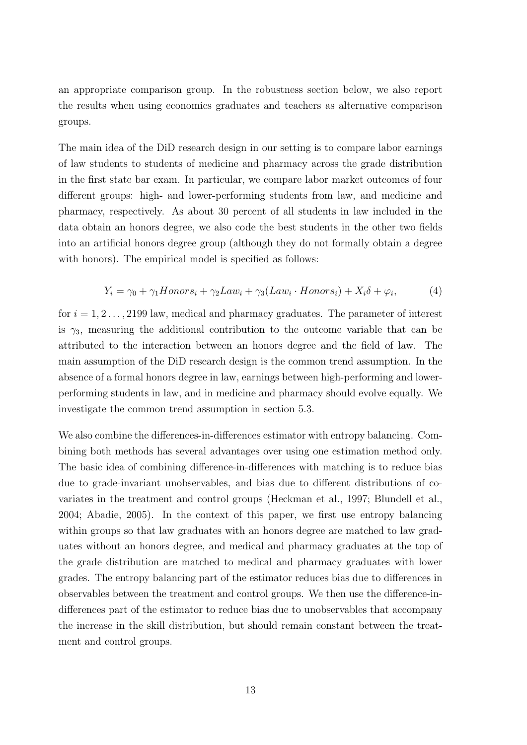an appropriate comparison group. In the robustness section below, we also report the results when using economics graduates and teachers as alternative comparison groups.

The main idea of the DiD research design in our setting is to compare labor earnings of law students to students of medicine and pharmacy across the grade distribution in the first state bar exam. In particular, we compare labor market outcomes of four different groups: high- and lower-performing students from law, and medicine and pharmacy, respectively. As about 30 percent of all students in law included in the data obtain an honors degree, we also code the best students in the other two fields into an artificial honors degree group (although they do not formally obtain a degree with honors). The empirical model is specified as follows:

$$
Y_i = \gamma_0 + \gamma_1 \text{Honors}_i + \gamma_2 \text{Law}_i + \gamma_3 (\text{Law}_i \cdot \text{Honors}_i) + X_i \delta + \varphi_i,\tag{4}
$$

for  $i = 1, 2, \ldots, 2199$  law, medical and pharmacy graduates. The parameter of interest is  $\gamma_3$ , measuring the additional contribution to the outcome variable that can be attributed to the interaction between an honors degree and the field of law. The main assumption of the DiD research design is the common trend assumption. In the absence of a formal honors degree in law, earnings between high-performing and lowerperforming students in law, and in medicine and pharmacy should evolve equally. We investigate the common trend assumption in section 5.3.

We also combine the differences-in-differences estimator with entropy balancing. Combining both methods has several advantages over using one estimation method only. The basic idea of combining difference-in-differences with matching is to reduce bias due to grade-invariant unobservables, and bias due to different distributions of covariates in the treatment and control groups (Heckman et al., 1997; Blundell et al., 2004; Abadie, 2005). In the context of this paper, we first use entropy balancing within groups so that law graduates with an honors degree are matched to law graduates without an honors degree, and medical and pharmacy graduates at the top of the grade distribution are matched to medical and pharmacy graduates with lower grades. The entropy balancing part of the estimator reduces bias due to differences in observables between the treatment and control groups. We then use the difference-indifferences part of the estimator to reduce bias due to unobservables that accompany the increase in the skill distribution, but should remain constant between the treatment and control groups.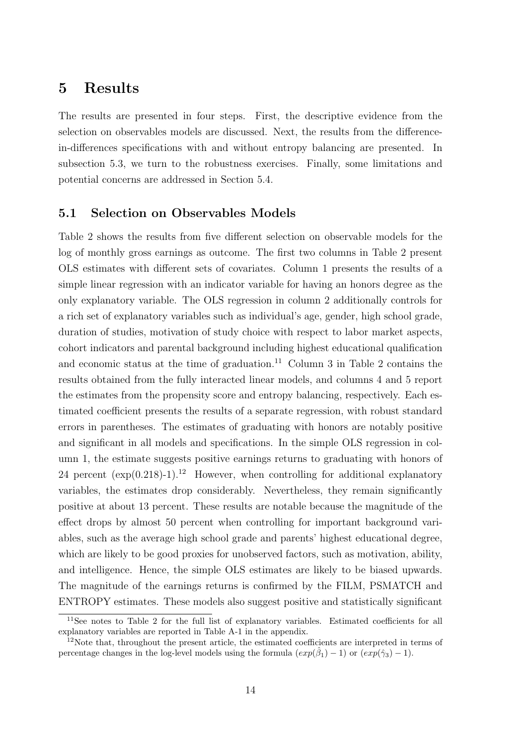# 5 Results

The results are presented in four steps. First, the descriptive evidence from the selection on observables models are discussed. Next, the results from the differencein-differences specifications with and without entropy balancing are presented. In subsection 5.3, we turn to the robustness exercises. Finally, some limitations and potential concerns are addressed in Section 5.4.

#### 5.1 Selection on Observables Models

Table 2 shows the results from five different selection on observable models for the log of monthly gross earnings as outcome. The first two columns in Table 2 present OLS estimates with different sets of covariates. Column 1 presents the results of a simple linear regression with an indicator variable for having an honors degree as the only explanatory variable. The OLS regression in column 2 additionally controls for a rich set of explanatory variables such as individual's age, gender, high school grade, duration of studies, motivation of study choice with respect to labor market aspects, cohort indicators and parental background including highest educational qualification and economic status at the time of graduation.<sup>11</sup> Column 3 in Table 2 contains the results obtained from the fully interacted linear models, and columns 4 and 5 report the estimates from the propensity score and entropy balancing, respectively. Each estimated coefficient presents the results of a separate regression, with robust standard errors in parentheses. The estimates of graduating with honors are notably positive and significant in all models and specifications. In the simple OLS regression in column 1, the estimate suggests positive earnings returns to graduating with honors of 24 percent  $(exp(0.218)-1).^{12}$  However, when controlling for additional explanatory variables, the estimates drop considerably. Nevertheless, they remain significantly positive at about 13 percent. These results are notable because the magnitude of the effect drops by almost 50 percent when controlling for important background variables, such as the average high school grade and parents' highest educational degree, which are likely to be good proxies for unobserved factors, such as motivation, ability, and intelligence. Hence, the simple OLS estimates are likely to be biased upwards. The magnitude of the earnings returns is confirmed by the FILM, PSMATCH and ENTROPY estimates. These models also suggest positive and statistically significant

<sup>11</sup>See notes to Table 2 for the full list of explanatory variables. Estimated coefficients for all explanatory variables are reported in Table A-1 in the appendix.

 $12$ Note that, throughout the present article, the estimated coefficients are interpreted in terms of percentage changes in the log-level models using the formula  $(exp(\hat{\beta}_1) - 1)$  or  $(exp(\hat{\gamma}_3) - 1)$ .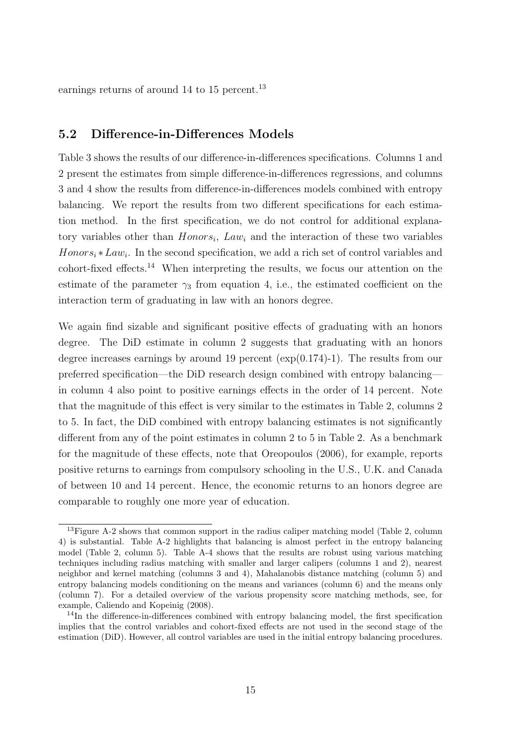earnings returns of around 14 to 15 percent.<sup>13</sup>

#### 5.2 Difference-in-Differences Models

Table 3 shows the results of our difference-in-differences specifications. Columns 1 and 2 present the estimates from simple difference-in-differences regressions, and columns 3 and 4 show the results from difference-in-differences models combined with entropy balancing. We report the results from two different specifications for each estimation method. In the first specification, we do not control for additional explanatory variables other than  $Honors_i$ ,  $Law_i$  and the interaction of these two variables  $Honors_i * Law_i$ . In the second specification, we add a rich set of control variables and cohort-fixed effects.<sup>14</sup> When interpreting the results, we focus our attention on the estimate of the parameter  $\gamma_3$  from equation 4, i.e., the estimated coefficient on the interaction term of graduating in law with an honors degree.

We again find sizable and significant positive effects of graduating with an honors degree. The DiD estimate in column 2 suggests that graduating with an honors degree increases earnings by around 19 percent  $(\exp(0.174)-1)$ . The results from our preferred specification—the DiD research design combined with entropy balancing in column 4 also point to positive earnings effects in the order of 14 percent. Note that the magnitude of this effect is very similar to the estimates in Table 2, columns 2 to 5. In fact, the DiD combined with entropy balancing estimates is not significantly different from any of the point estimates in column 2 to 5 in Table 2. As a benchmark for the magnitude of these effects, note that Oreopoulos (2006), for example, reports positive returns to earnings from compulsory schooling in the U.S., U.K. and Canada of between 10 and 14 percent. Hence, the economic returns to an honors degree are comparable to roughly one more year of education.

<sup>&</sup>lt;sup>13</sup>Figure A-2 shows that common support in the radius caliper matching model (Table 2, column 4) is substantial. Table A-2 highlights that balancing is almost perfect in the entropy balancing model (Table 2, column 5). Table A-4 shows that the results are robust using various matching techniques including radius matching with smaller and larger calipers (columns 1 and 2), nearest neighbor and kernel matching (columns 3 and 4), Mahalanobis distance matching (column 5) and entropy balancing models conditioning on the means and variances (column 6) and the means only (column 7). For a detailed overview of the various propensity score matching methods, see, for example, Caliendo and Kopeinig (2008).

<sup>&</sup>lt;sup>14</sup>In the difference-in-differences combined with entropy balancing model, the first specification implies that the control variables and cohort-fixed effects are not used in the second stage of the estimation (DiD). However, all control variables are used in the initial entropy balancing procedures.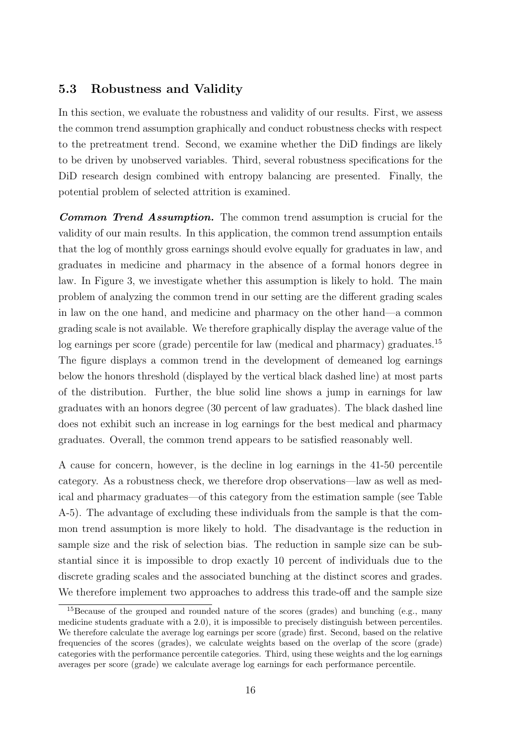#### 5.3 Robustness and Validity

In this section, we evaluate the robustness and validity of our results. First, we assess the common trend assumption graphically and conduct robustness checks with respect to the pretreatment trend. Second, we examine whether the DiD findings are likely to be driven by unobserved variables. Third, several robustness specifications for the DiD research design combined with entropy balancing are presented. Finally, the potential problem of selected attrition is examined.

Common Trend Assumption. The common trend assumption is crucial for the validity of our main results. In this application, the common trend assumption entails that the log of monthly gross earnings should evolve equally for graduates in law, and graduates in medicine and pharmacy in the absence of a formal honors degree in law. In Figure 3, we investigate whether this assumption is likely to hold. The main problem of analyzing the common trend in our setting are the different grading scales in law on the one hand, and medicine and pharmacy on the other hand—a common grading scale is not available. We therefore graphically display the average value of the log earnings per score (grade) percentile for law (medical and pharmacy) graduates.<sup>15</sup> The figure displays a common trend in the development of demeaned log earnings below the honors threshold (displayed by the vertical black dashed line) at most parts of the distribution. Further, the blue solid line shows a jump in earnings for law graduates with an honors degree (30 percent of law graduates). The black dashed line does not exhibit such an increase in log earnings for the best medical and pharmacy graduates. Overall, the common trend appears to be satisfied reasonably well.

A cause for concern, however, is the decline in log earnings in the 41-50 percentile category. As a robustness check, we therefore drop observations—law as well as medical and pharmacy graduates—of this category from the estimation sample (see Table A-5). The advantage of excluding these individuals from the sample is that the common trend assumption is more likely to hold. The disadvantage is the reduction in sample size and the risk of selection bias. The reduction in sample size can be substantial since it is impossible to drop exactly 10 percent of individuals due to the discrete grading scales and the associated bunching at the distinct scores and grades. We therefore implement two approaches to address this trade-off and the sample size

<sup>&</sup>lt;sup>15</sup>Because of the grouped and rounded nature of the scores (grades) and bunching (e.g., many medicine students graduate with a 2.0), it is impossible to precisely distinguish between percentiles. We therefore calculate the average log earnings per score (grade) first. Second, based on the relative frequencies of the scores (grades), we calculate weights based on the overlap of the score (grade) categories with the performance percentile categories. Third, using these weights and the log earnings averages per score (grade) we calculate average log earnings for each performance percentile.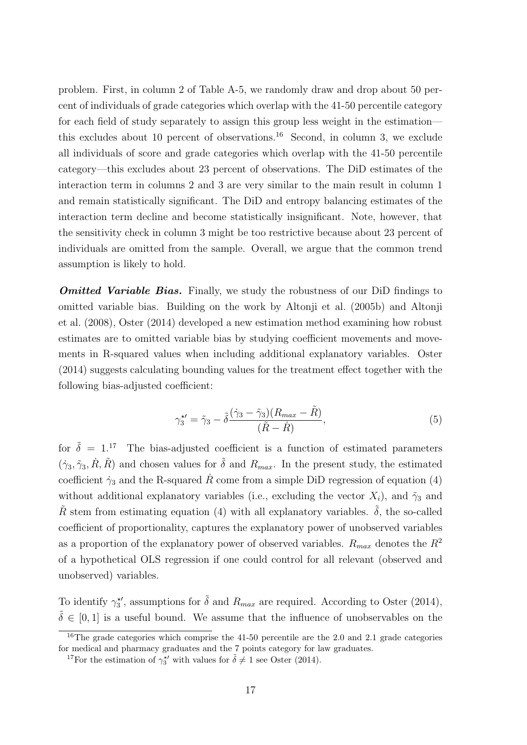problem. First, in column 2 of Table A-5, we randomly draw and drop about 50 percent of individuals of grade categories which overlap with the 41-50 percentile category for each field of study separately to assign this group less weight in the estimation this excludes about 10 percent of observations.<sup>16</sup> Second, in column 3, we exclude all individuals of score and grade categories which overlap with the 41-50 percentile category—this excludes about 23 percent of observations. The DiD estimates of the interaction term in columns 2 and 3 are very similar to the main result in column 1 and remain statistically significant. The DiD and entropy balancing estimates of the interaction term decline and become statistically insignificant. Note, however, that the sensitivity check in column 3 might be too restrictive because about 23 percent of individuals are omitted from the sample. Overall, we argue that the common trend assumption is likely to hold.

**Omitted Variable Bias.** Finally, we study the robustness of our DiD findings to omitted variable bias. Building on the work by Altonji et al. (2005b) and Altonji et al. (2008), Oster (2014) developed a new estimation method examining how robust estimates are to omitted variable bias by studying coefficient movements and movements in R-squared values when including additional explanatory variables. Oster (2014) suggests calculating bounding values for the treatment effect together with the following bias-adjusted coefficient:

$$
\gamma_3^{\star\prime} = \tilde{\gamma}_3 - \tilde{\delta} \frac{(\dot{\gamma}_3 - \tilde{\gamma}_3)(R_{max} - \tilde{R})}{(\tilde{R} - \dot{R})},\tag{5}
$$

for  $\tilde{\delta} = 1.17$  The bias-adjusted coefficient is a function of estimated parameters  $(\dot{\gamma}_3, \tilde{\gamma}_3, \dot{R}, \tilde{R})$  and chosen values for  $\tilde{\delta}$  and  $R_{max}$ . In the present study, the estimated coefficient  $\dot{\gamma}_3$  and the R-squared  $\dot{R}$  come from a simple DiD regression of equation (4) without additional explanatory variables (i.e., excluding the vector  $X_i$ ), and  $\tilde{\gamma}_3$  and R stem from estimating equation (4) with all explanatory variables.  $\delta$ , the so-called coefficient of proportionality, captures the explanatory power of unobserved variables as a proportion of the explanatory power of observed variables.  $R_{max}$  denotes the  $R^2$ of a hypothetical OLS regression if one could control for all relevant (observed and unobserved) variables.

To identify  $\gamma_3^{\star\prime}$ , assumptions for  $\tilde{\delta}$  and  $R_{max}$  are required. According to Oster (2014),  $\tilde{\delta} \in [0,1]$  is a useful bound. We assume that the influence of unobservables on the

<sup>&</sup>lt;sup>16</sup>The grade categories which comprise the 41-50 percentile are the 2.0 and 2.1 grade categories for medical and pharmacy graduates and the 7 points category for law graduates.

<sup>&</sup>lt;sup>17</sup>For the estimation of  $\gamma_3^{\star\prime}$  with values for  $\tilde{\delta} \neq 1$  see Oster (2014).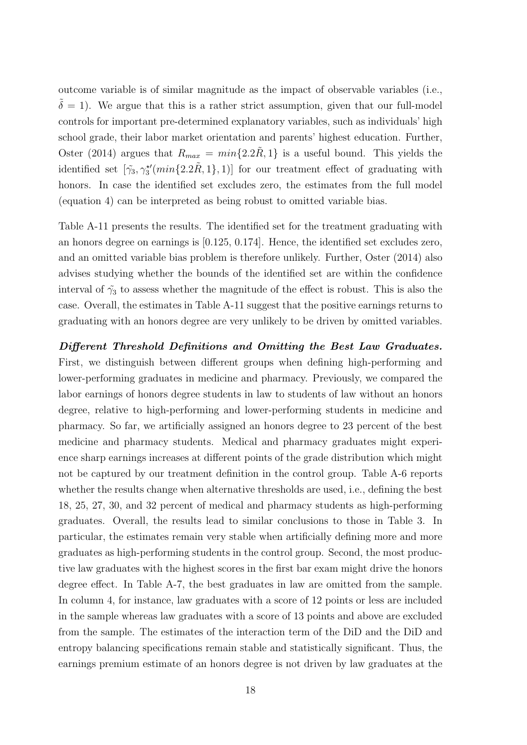outcome variable is of similar magnitude as the impact of observable variables (i.e.,  $\tilde{\delta} = 1$ ). We argue that this is a rather strict assumption, given that our full-model controls for important pre-determined explanatory variables, such as individuals' high school grade, their labor market orientation and parents' highest education. Further, Oster (2014) argues that  $R_{max} = min\{2.2\tilde{R}, 1\}$  is a useful bound. This yields the identified set  $\left[ \tilde{\gamma_3}, \gamma_3^{\star'}(min\{2.2R, 1\}, 1) \right]$  for our treatment effect of graduating with honors. In case the identified set excludes zero, the estimates from the full model (equation 4) can be interpreted as being robust to omitted variable bias.

Table A-11 presents the results. The identified set for the treatment graduating with an honors degree on earnings is [0.125, 0.174]. Hence, the identified set excludes zero, and an omitted variable bias problem is therefore unlikely. Further, Oster (2014) also advises studying whether the bounds of the identified set are within the confidence interval of  $\tilde{\gamma}_3$  to assess whether the magnitude of the effect is robust. This is also the case. Overall, the estimates in Table A-11 suggest that the positive earnings returns to graduating with an honors degree are very unlikely to be driven by omitted variables.

Different Threshold Definitions and Omitting the Best Law Graduates. First, we distinguish between different groups when defining high-performing and lower-performing graduates in medicine and pharmacy. Previously, we compared the labor earnings of honors degree students in law to students of law without an honors degree, relative to high-performing and lower-performing students in medicine and pharmacy. So far, we artificially assigned an honors degree to 23 percent of the best medicine and pharmacy students. Medical and pharmacy graduates might experience sharp earnings increases at different points of the grade distribution which might not be captured by our treatment definition in the control group. Table A-6 reports whether the results change when alternative thresholds are used, i.e., defining the best 18, 25, 27, 30, and 32 percent of medical and pharmacy students as high-performing graduates. Overall, the results lead to similar conclusions to those in Table 3. In particular, the estimates remain very stable when artificially defining more and more graduates as high-performing students in the control group. Second, the most productive law graduates with the highest scores in the first bar exam might drive the honors degree effect. In Table A-7, the best graduates in law are omitted from the sample. In column 4, for instance, law graduates with a score of 12 points or less are included in the sample whereas law graduates with a score of 13 points and above are excluded from the sample. The estimates of the interaction term of the DiD and the DiD and entropy balancing specifications remain stable and statistically significant. Thus, the earnings premium estimate of an honors degree is not driven by law graduates at the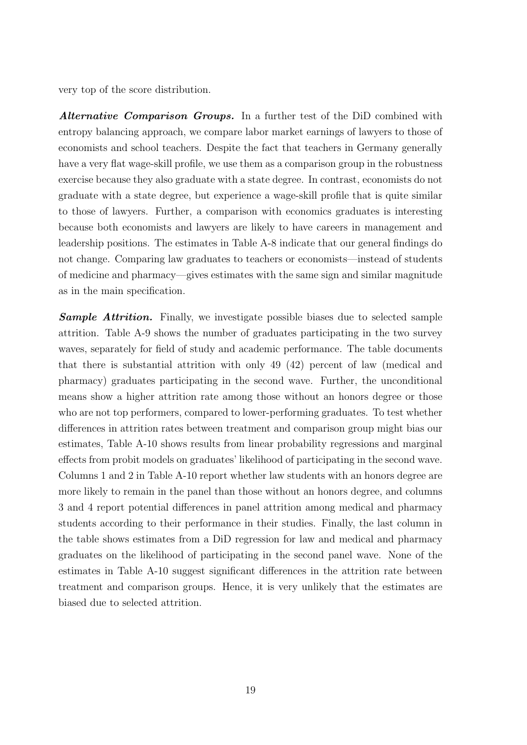very top of the score distribution.

Alternative Comparison Groups. In a further test of the DiD combined with entropy balancing approach, we compare labor market earnings of lawyers to those of economists and school teachers. Despite the fact that teachers in Germany generally have a very flat wage-skill profile, we use them as a comparison group in the robustness exercise because they also graduate with a state degree. In contrast, economists do not graduate with a state degree, but experience a wage-skill profile that is quite similar to those of lawyers. Further, a comparison with economics graduates is interesting because both economists and lawyers are likely to have careers in management and leadership positions. The estimates in Table A-8 indicate that our general findings do not change. Comparing law graduates to teachers or economists—instead of students of medicine and pharmacy—gives estimates with the same sign and similar magnitude as in the main specification.

**Sample Attrition.** Finally, we investigate possible biases due to selected sample attrition. Table A-9 shows the number of graduates participating in the two survey waves, separately for field of study and academic performance. The table documents that there is substantial attrition with only 49 (42) percent of law (medical and pharmacy) graduates participating in the second wave. Further, the unconditional means show a higher attrition rate among those without an honors degree or those who are not top performers, compared to lower-performing graduates. To test whether differences in attrition rates between treatment and comparison group might bias our estimates, Table A-10 shows results from linear probability regressions and marginal effects from probit models on graduates' likelihood of participating in the second wave. Columns 1 and 2 in Table A-10 report whether law students with an honors degree are more likely to remain in the panel than those without an honors degree, and columns 3 and 4 report potential differences in panel attrition among medical and pharmacy students according to their performance in their studies. Finally, the last column in the table shows estimates from a DiD regression for law and medical and pharmacy graduates on the likelihood of participating in the second panel wave. None of the estimates in Table A-10 suggest significant differences in the attrition rate between treatment and comparison groups. Hence, it is very unlikely that the estimates are biased due to selected attrition.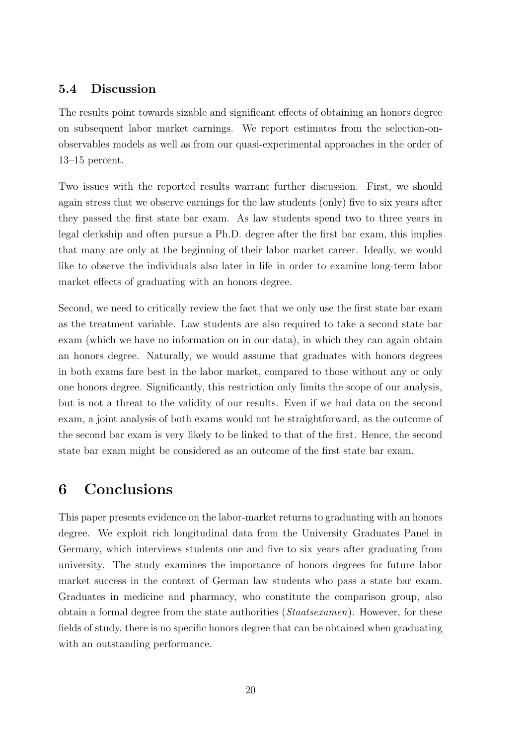#### 5.4 Discussion

The results point towards sizable and significant effects of obtaining an honors degree on subsequent labor market earnings. We report estimates from the selection-onobservables models as well as from our quasi-experimental approaches in the order of 13–15 percent.

Two issues with the reported results warrant further discussion. First, we should again stress that we observe earnings for the law students (only) five to six years after they passed the first state bar exam. As law students spend two to three years in legal clerkship and often pursue a Ph.D. degree after the first bar exam, this implies that many are only at the beginning of their labor market career. Ideally, we would like to observe the individuals also later in life in order to examine long-term labor market effects of graduating with an honors degree.

Second, we need to critically review the fact that we only use the first state bar exam as the treatment variable. Law students are also required to take a second state bar exam (which we have no information on in our data), in which they can again obtain an honors degree. Naturally, we would assume that graduates with honors degrees in both exams fare best in the labor market, compared to those without any or only one honors degree. Significantly, this restriction only limits the scope of our analysis, but is not a threat to the validity of our results. Even if we had data on the second exam, a joint analysis of both exams would not be straightforward, as the outcome of the second bar exam is very likely to be linked to that of the first. Hence, the second state bar exam might be considered as an outcome of the first state bar exam.

# 6 Conclusions

This paper presents evidence on the labor-market returns to graduating with an honors degree. We exploit rich longitudinal data from the University Graduates Panel in Germany, which interviews students one and five to six years after graduating from university. The study examines the importance of honors degrees for future labor market success in the context of German law students who pass a state bar exam. Graduates in medicine and pharmacy, who constitute the comparison group, also obtain a formal degree from the state authorities (Staatsexamen). However, for these fields of study, there is no specific honors degree that can be obtained when graduating with an outstanding performance.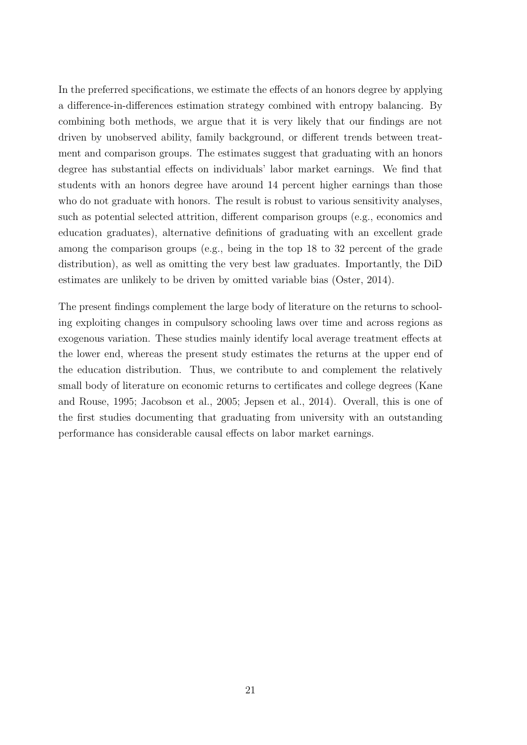In the preferred specifications, we estimate the effects of an honors degree by applying a difference-in-differences estimation strategy combined with entropy balancing. By combining both methods, we argue that it is very likely that our findings are not driven by unobserved ability, family background, or different trends between treatment and comparison groups. The estimates suggest that graduating with an honors degree has substantial effects on individuals' labor market earnings. We find that students with an honors degree have around 14 percent higher earnings than those who do not graduate with honors. The result is robust to various sensitivity analyses, such as potential selected attrition, different comparison groups (e.g., economics and education graduates), alternative definitions of graduating with an excellent grade among the comparison groups (e.g., being in the top 18 to 32 percent of the grade distribution), as well as omitting the very best law graduates. Importantly, the DiD estimates are unlikely to be driven by omitted variable bias (Oster, 2014).

The present findings complement the large body of literature on the returns to schooling exploiting changes in compulsory schooling laws over time and across regions as exogenous variation. These studies mainly identify local average treatment effects at the lower end, whereas the present study estimates the returns at the upper end of the education distribution. Thus, we contribute to and complement the relatively small body of literature on economic returns to certificates and college degrees (Kane and Rouse, 1995; Jacobson et al., 2005; Jepsen et al., 2014). Overall, this is one of the first studies documenting that graduating from university with an outstanding performance has considerable causal effects on labor market earnings.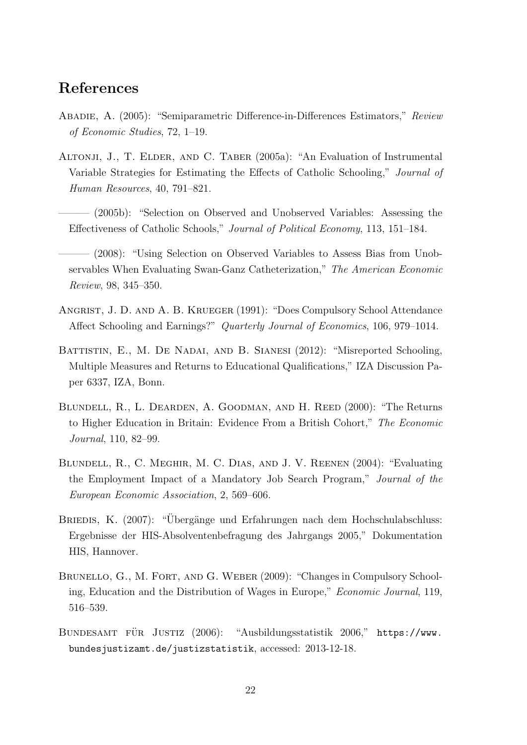# References

- Abadie, A. (2005): "Semiparametric Difference-in-Differences Estimators," Review of Economic Studies, 72, 1–19.
- ALTONJI, J., T. ELDER, AND C. TABER (2005a): "An Evaluation of Instrumental Variable Strategies for Estimating the Effects of Catholic Schooling," Journal of Human Resources, 40, 791–821.
	- (2005b): "Selection on Observed and Unobserved Variables: Assessing the Effectiveness of Catholic Schools," Journal of Political Economy, 113, 151–184.
- $-(2008)$ : "Using Selection on Observed Variables to Assess Bias from Unobservables When Evaluating Swan-Ganz Catheterization," The American Economic Review, 98, 345–350.
- Angrist, J. D. and A. B. Krueger (1991): "Does Compulsory School Attendance Affect Schooling and Earnings?" Quarterly Journal of Economics, 106, 979–1014.
- BATTISTIN, E., M. DE NADAI, AND B. SIANESI (2012): "Misreported Schooling, Multiple Measures and Returns to Educational Qualifications," IZA Discussion Paper 6337, IZA, Bonn.
- Blundell, R., L. Dearden, A. Goodman, and H. Reed (2000): "The Returns to Higher Education in Britain: Evidence From a British Cohort," The Economic Journal, 110, 82–99.
- Blundell, R., C. Meghir, M. C. Dias, and J. V. Reenen (2004): "Evaluating the Employment Impact of a Mandatory Job Search Program," Journal of the European Economic Association, 2, 569–606.
- BRIEDIS, K. (2007): "Übergänge und Erfahrungen nach dem Hochschulabschluss: Ergebnisse der HIS-Absolventenbefragung des Jahrgangs 2005," Dokumentation HIS, Hannover.
- BRUNELLO, G., M. FORT, AND G. WEBER (2009): "Changes in Compulsory Schooling, Education and the Distribution of Wages in Europe," Economic Journal, 119, 516–539.
- BUNDESAMT FÜR JUSTIZ (2006): "Ausbildungsstatistik 2006," https://www. bundesjustizamt.de/justizstatistik, accessed: 2013-12-18.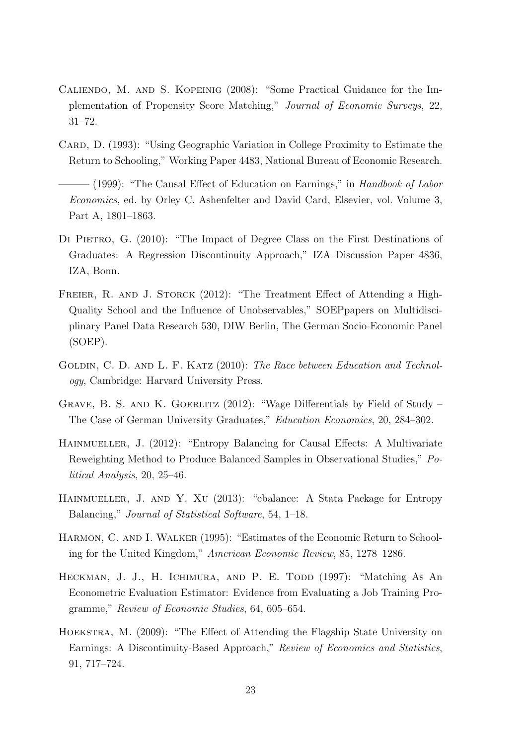- Caliendo, M. and S. Kopeinig (2008): "Some Practical Guidance for the Implementation of Propensity Score Matching," Journal of Economic Surveys, 22, 31–72.
- CARD, D. (1993): "Using Geographic Variation in College Proximity to Estimate the Return to Schooling," Working Paper 4483, National Bureau of Economic Research.
- $(1999)$ : "The Causal Effect of Education on Earnings," in Handbook of Labor Economics, ed. by Orley C. Ashenfelter and David Card, Elsevier, vol. Volume 3, Part A, 1801–1863.
- DI PIETRO, G. (2010): "The Impact of Degree Class on the First Destinations of Graduates: A Regression Discontinuity Approach," IZA Discussion Paper 4836, IZA, Bonn.
- FREIER, R. AND J. STORCK (2012): "The Treatment Effect of Attending a High-Quality School and the Influence of Unobservables," SOEPpapers on Multidisciplinary Panel Data Research 530, DIW Berlin, The German Socio-Economic Panel (SOEP).
- GOLDIN, C. D. AND L. F. KATZ (2010): The Race between Education and Technology, Cambridge: Harvard University Press.
- GRAVE, B. S. AND K. GOERLITZ (2012): "Wage Differentials by Field of Study The Case of German University Graduates," Education Economics, 20, 284–302.
- HAINMUELLER, J. (2012): "Entropy Balancing for Causal Effects: A Multivariate Reweighting Method to Produce Balanced Samples in Observational Studies," Political Analysis, 20, 25–46.
- Hainmueller, J. and Y. Xu (2013): "ebalance: A Stata Package for Entropy Balancing," Journal of Statistical Software, 54, 1–18.
- Harmon, C. and I. Walker (1995): "Estimates of the Economic Return to Schooling for the United Kingdom," American Economic Review, 85, 1278–1286.
- HECKMAN, J. J., H. ICHIMURA, AND P. E. TODD (1997): "Matching As An Econometric Evaluation Estimator: Evidence from Evaluating a Job Training Programme," Review of Economic Studies, 64, 605–654.
- HOEKSTRA, M. (2009): "The Effect of Attending the Flagship State University on Earnings: A Discontinuity-Based Approach," Review of Economics and Statistics, 91, 717–724.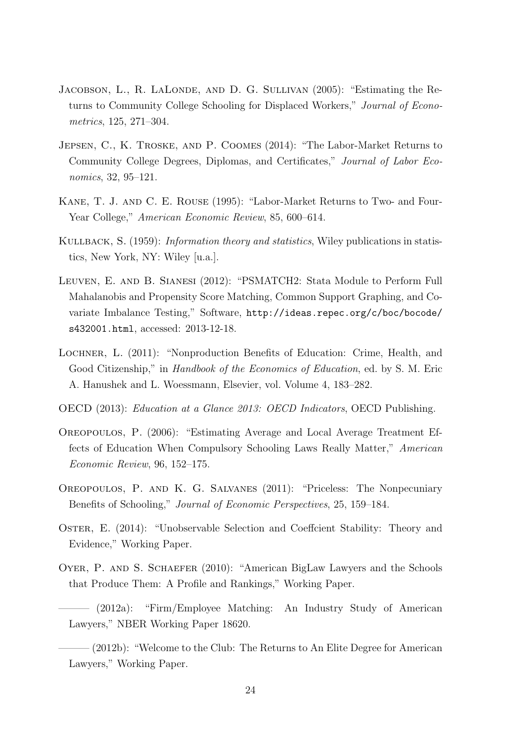- JACOBSON, L., R. LALONDE, AND D. G. SULLIVAN (2005): "Estimating the Returns to Community College Schooling for Displaced Workers," Journal of Econometrics, 125, 271–304.
- Jepsen, C., K. Troske, and P. Coomes (2014): "The Labor-Market Returns to Community College Degrees, Diplomas, and Certificates," Journal of Labor Economics, 32, 95–121.
- Kane, T. J. and C. E. Rouse (1995): "Labor-Market Returns to Two- and Four-Year College," American Economic Review, 85, 600–614.
- KULLBACK, S. (1959): *Information theory and statistics*, Wiley publications in statistics, New York, NY: Wiley [u.a.].
- Leuven, E. and B. Sianesi (2012): "PSMATCH2: Stata Module to Perform Full Mahalanobis and Propensity Score Matching, Common Support Graphing, and Covariate Imbalance Testing," Software, http://ideas.repec.org/c/boc/bocode/ s432001.html, accessed: 2013-12-18.
- Lochner, L. (2011): "Nonproduction Benefits of Education: Crime, Health, and Good Citizenship," in *Handbook of the Economics of Education*, ed. by S. M. Eric A. Hanushek and L. Woessmann, Elsevier, vol. Volume 4, 183–282.
- OECD (2013): Education at a Glance 2013: OECD Indicators, OECD Publishing.
- Oreopoulos, P. (2006): "Estimating Average and Local Average Treatment Effects of Education When Compulsory Schooling Laws Really Matter," American Economic Review, 96, 152–175.
- Oreopoulos, P. and K. G. Salvanes (2011): "Priceless: The Nonpecuniary Benefits of Schooling," Journal of Economic Perspectives, 25, 159–184.
- Oster, E. (2014): "Unobservable Selection and Coeffcient Stability: Theory and Evidence," Working Paper.
- Oyer, P. and S. Schaefer (2010): "American BigLaw Lawyers and the Schools that Produce Them: A Profile and Rankings," Working Paper.
- ——— (2012a): "Firm/Employee Matching: An Industry Study of American Lawyers," NBER Working Paper 18620.
- $(2012b)$ : "Welcome to the Club: The Returns to An Elite Degree for American Lawyers," Working Paper.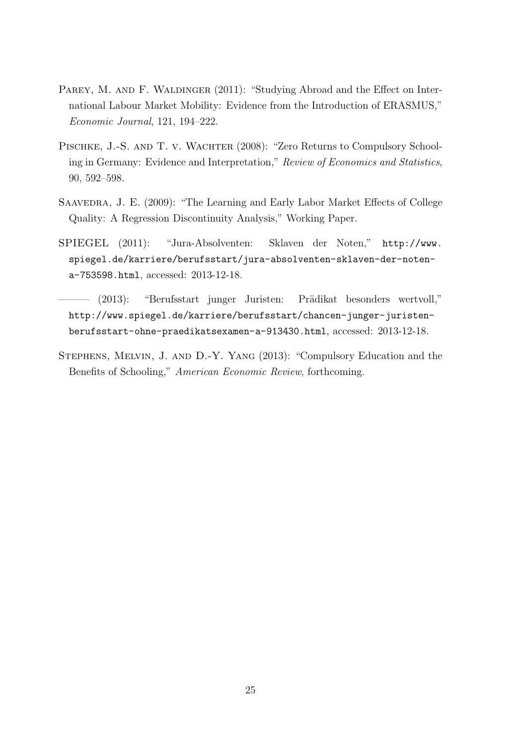- PAREY, M. AND F. WALDINGER (2011): "Studying Abroad and the Effect on International Labour Market Mobility: Evidence from the Introduction of ERASMUS," Economic Journal, 121, 194–222.
- PISCHKE, J.-S. AND T. V. WACHTER (2008): "Zero Returns to Compulsory Schooling in Germany: Evidence and Interpretation," Review of Economics and Statistics, 90, 592–598.
- SAAVEDRA, J. E. (2009): "The Learning and Early Labor Market Effects of College Quality: A Regression Discontinuity Analysis," Working Paper.
- SPIEGEL (2011): "Jura-Absolventen: Sklaven der Noten," http://www. spiegel.de/karriere/berufsstart/jura-absolventen-sklaven-der-notena-753598.html, accessed: 2013-12-18.
- (2013): "Berufsstart junger Juristen: Prädikat besonders wertvoll," http://www.spiegel.de/karriere/berufsstart/chancen-junger-juristenberufsstart-ohne-praedikatsexamen-a-913430.html, accessed: 2013-12-18.
- Stephens, Melvin, J. and D.-Y. Yang (2013): "Compulsory Education and the Benefits of Schooling," American Economic Review, forthcoming.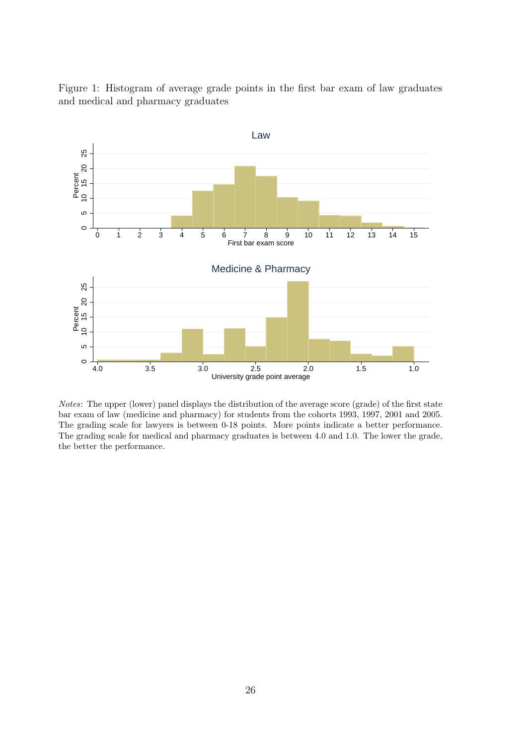



Notes: The upper (lower) panel displays the distribution of the average score (grade) of the first state bar exam of law (medicine and pharmacy) for students from the cohorts 1993, 1997, 2001 and 2005. The grading scale for lawyers is between 0-18 points. More points indicate a better performance. The grading scale for medical and pharmacy graduates is between 4.0 and 1.0. The lower the grade, the better the performance.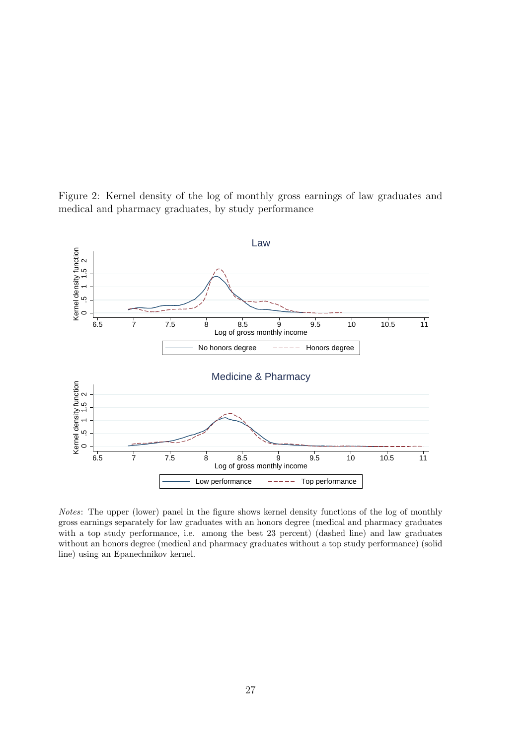



Notes: The upper (lower) panel in the figure shows kernel density functions of the log of monthly gross earnings separately for law graduates with an honors degree (medical and pharmacy graduates with a top study performance, i.e. among the best 23 percent) (dashed line) and law graduates without an honors degree (medical and pharmacy graduates without a top study performance) (solid line) using an Epanechnikov kernel.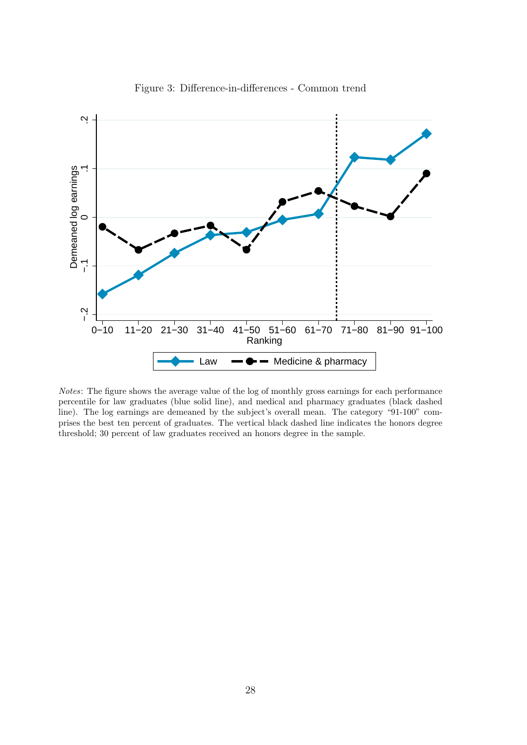

Figure 3: Difference-in-differences - Common trend

Notes: The figure shows the average value of the log of monthly gross earnings for each performance percentile for law graduates (blue solid line), and medical and pharmacy graduates (black dashed line). The log earnings are demeaned by the subject's overall mean. The category "91-100" comprises the best ten percent of graduates. The vertical black dashed line indicates the honors degree threshold; 30 percent of law graduates received an honors degree in the sample.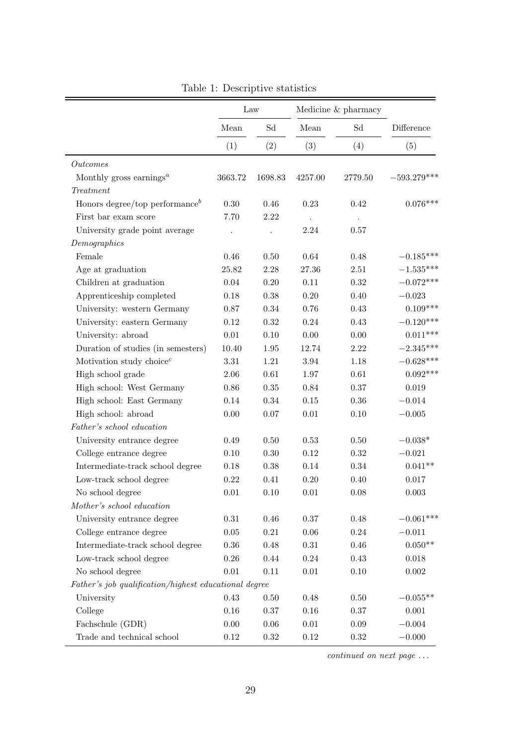|                                                       |          | Law        |          | Medicine & pharmacy |               |
|-------------------------------------------------------|----------|------------|----------|---------------------|---------------|
|                                                       | Mean     | Sd         | Mean     | Sd                  | Difference    |
|                                                       | (1)      | (2)        | (3)      | (4)                 | (5)           |
| <i><u>Outcomes</u></i>                                |          |            |          |                     |               |
| Monthly gross earnings <sup><math>a</math></sup>      | 3663.72  | 1698.83    | 4257.00  | 2779.50             | $-593.279***$ |
| Treatment                                             |          |            |          |                     |               |
| Honors degree/top performance <sup>b</sup>            | 0.30     | 0.46       | 0.23     | 0.42                | $0.076***$    |
| First bar exam score                                  | 7.70     | 2.22       |          |                     |               |
| University grade point average                        |          |            | 2.24     | 0.57                |               |
| Demographics                                          |          |            |          |                     |               |
| Female                                                | 0.46     | 0.50       | 0.64     | 0.48                | $-0.185***$   |
| Age at graduation                                     | 25.82    | 2.28       | 27.36    | 2.51                | $-1.535***$   |
| Children at graduation                                | 0.04     | 0.20       | 0.11     | 0.32                | $-0.072***$   |
| Apprenticeship completed                              | 0.18     | 0.38       | 0.20     | 0.40                | $-0.023$      |
| University: western Germany                           | $0.87\,$ | 0.34       | 0.76     | 0.43                | $0.109***$    |
| University: eastern Germany                           | 0.12     | $\rm 0.32$ | 0.24     | 0.43                | $-0.120***$   |
| University: abroad                                    | 0.01     | 0.10       | 0.00     | 0.00                | $0.011***$    |
| Duration of studies (in semesters)                    | 10.40    | 1.95       | 12.74    | 2.22                | $-2.345***$   |
| Motivation study choice $^c$                          | $3.31\,$ | 1.21       | $3.94\,$ | 1.18                | $-0.628***$   |
| High school grade                                     | 2.06     | 0.61       | 1.97     | 0.61                | $0.092***$    |
| High school: West Germany                             | 0.86     | $0.35\,$   | 0.84     | 0.37                | 0.019         |
| High school: East Germany                             | 0.14     | 0.34       | $0.15\,$ | 0.36                | $-0.014$      |
| High school: abroad                                   | $0.00\,$ | $0.07\,$   | $0.01\,$ | 0.10                | $-0.005$      |
| Father's school education                             |          |            |          |                     |               |
| University entrance degree                            | 0.49     | 0.50       | 0.53     | 0.50                | $-0.038*$     |
| College entrance degree                               | 0.10     | $0.30\,$   | 0.12     | 0.32                | $-0.021$      |
| Intermediate-track school degree                      | 0.18     | 0.38       | 0.14     | 0.34                | $0.041**$     |
| Low-track school degree                               | 0.22     | 0.41       | 0.20     | 0.40                | $0.017\,$     |
| No school degree                                      | 0.01     | 0.10       | 0.01     | 0.08                | 0.003         |
| Mother's school education                             |          |            |          |                     |               |
| University entrance degree                            | $0.31\,$ | 0.46       | 0.37     | 0.48                | $-0.061***$   |
| College entrance degree                               | $0.05\,$ | $\rm 0.21$ | 0.06     | $0.24\,$            | $-0.011$      |
| Intermediate-track school degree                      | $0.36\,$ | 0.48       | $0.31\,$ | $0.46\,$            | $0.050**$     |
| Low-track school degree                               | $0.26\,$ | $0.44\,$   | $0.24\,$ | 0.43                | 0.018         |
| No school degree                                      | 0.01     | $0.11\,$   | $0.01\,$ | 0.10                | $0.002\,$     |
| Father's job qualification/highest educational degree |          |            |          |                     |               |
| University                                            | 0.43     | $0.50\,$   | 0.48     | 0.50                | $-0.055**$    |
| College                                               | 0.16     | 0.37       | 0.16     | $0.37\,$            | $0.001\,$     |
| Fachschule (GDR)                                      | 0.00     | 0.06       | $0.01\,$ | 0.09                | $-0.004$      |
| Trade and technical school                            | 0.12     | $\rm 0.32$ | $0.12\,$ | $0.32\,$            | $-0.000$      |

Table 1: Descriptive statistics

 $continued$   $on$   $next$   $page$   $\ldots$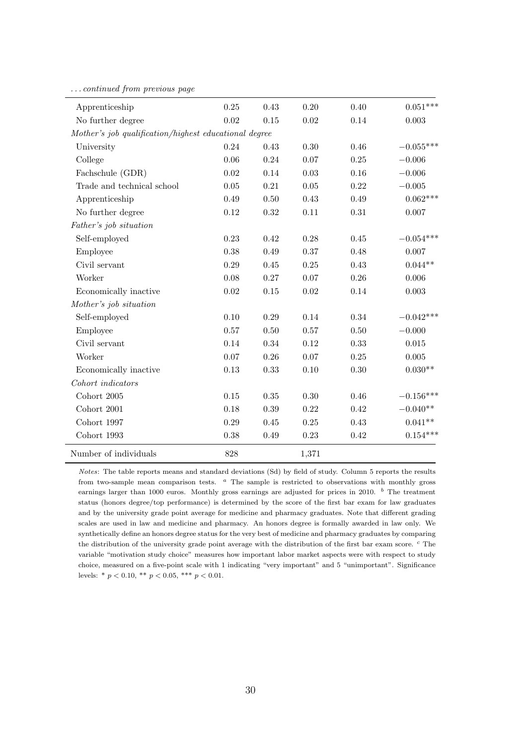| Apprenticeship                                        | 0.25     | 0.43     | 0.20     | 0.40     | $0.051***$  |
|-------------------------------------------------------|----------|----------|----------|----------|-------------|
| No further degree                                     | 0.02     | 0.15     | 0.02     | 0.14     | 0.003       |
| Mother's job qualification/highest educational degree |          |          |          |          |             |
| University                                            | 0.24     | 0.43     | 0.30     | 0.46     | $-0.055***$ |
| College                                               | 0.06     | 0.24     | 0.07     | 0.25     | $-0.006$    |
| Fachschule (GDR)                                      | 0.02     | 0.14     | 0.03     | 0.16     | $-0.006$    |
| Trade and technical school                            | 0.05     | 0.21     | $0.05\,$ | 0.22     | $-0.005$    |
| Apprenticeship                                        | 0.49     | 0.50     | 0.43     | 0.49     | $0.062***$  |
| No further degree                                     | 0.12     | 0.32     | 0.11     | $0.31\,$ | 0.007       |
| Father's job situation                                |          |          |          |          |             |
| Self-employed                                         | 0.23     | 0.42     | 0.28     | 0.45     | $-0.054***$ |
| Employee                                              | 0.38     | 0.49     | 0.37     | 0.48     | 0.007       |
| Civil servant                                         | 0.29     | 0.45     | 0.25     | 0.43     | $0.044**$   |
| Worker                                                | 0.08     | $0.27\,$ | 0.07     | 0.26     | 0.006       |
| Economically inactive                                 | $0.02\,$ | $0.15\,$ | $0.02\,$ | 0.14     | $0.003\,$   |
| Mother's job situation                                |          |          |          |          |             |
| Self-employed                                         | 0.10     | 0.29     | 0.14     | 0.34     | $-0.042***$ |
| Employee                                              | 0.57     | 0.50     | 0.57     | $0.50\,$ | $-0.000$    |
| Civil servant                                         | 0.14     | 0.34     | 0.12     | 0.33     | $0.015\,$   |
| Worker                                                | 0.07     | 0.26     | $0.07\,$ | 0.25     | 0.005       |
| Economically inactive                                 | 0.13     | 0.33     | 0.10     | $0.30\,$ | $0.030**$   |
| Cohort indicators                                     |          |          |          |          |             |
| Cohort 2005                                           | 0.15     | $0.35\,$ | $0.30\,$ | 0.46     | $-0.156***$ |
| Cohort 2001                                           | 0.18     | 0.39     | 0.22     | 0.42     | $-0.040**$  |
| Cohort 1997                                           | 0.29     | 0.45     | $0.25\,$ | 0.43     | $0.041**$   |
| Cohort 1993                                           | 0.38     | 0.49     | $0.23\,$ | 0.42     | $0.154***$  |
| Number of individuals                                 | 828      |          | 1,371    |          |             |

. . . continued from previous page

Notes: The table reports means and standard deviations (Sd) by field of study. Column 5 reports the results from two-sample mean comparison tests.  $a$  The sample is restricted to observations with monthly gross earnings larger than 1000 euros. Monthly gross earnings are adjusted for prices in 2010.  $<sup>b</sup>$  The treatment</sup> status (honors degree/top performance) is determined by the score of the first bar exam for law graduates and by the university grade point average for medicine and pharmacy graduates. Note that different grading scales are used in law and medicine and pharmacy. An honors degree is formally awarded in law only. We synthetically define an honors degree status for the very best of medicine and pharmacy graduates by comparing the distribution of the university grade point average with the distribution of the first bar exam score. <sup>c</sup> The variable "motivation study choice" measures how important labor market aspects were with respect to study choice, measured on a five-point scale with 1 indicating "very important" and 5 "unimportant". Significance levels: \*  $p < 0.10$ , \*\*  $p < 0.05$ , \*\*\*  $p < 0.01$ .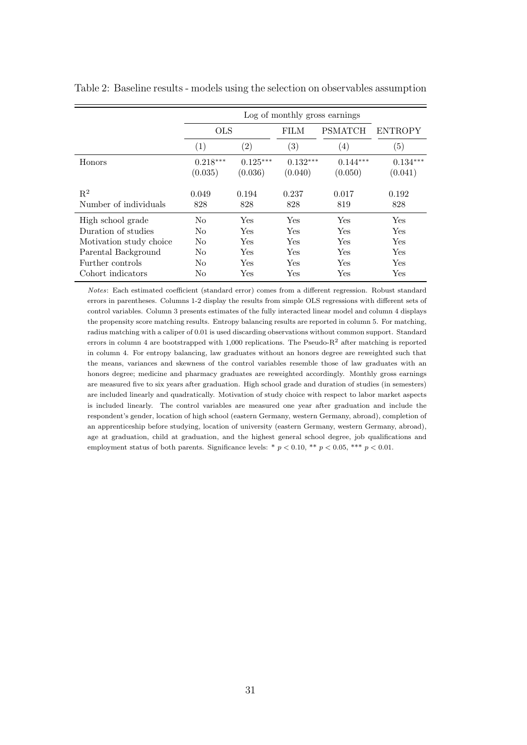|                                         |                   | Log of monthly gross earnings |                   |                      |                   |  |  |  |  |  |  |
|-----------------------------------------|-------------------|-------------------------------|-------------------|----------------------|-------------------|--|--|--|--|--|--|
|                                         | <b>OLS</b>        |                               | FILM              | <b>PSMATCH</b>       | <b>ENTROPY</b>    |  |  |  |  |  |  |
|                                         | $\left( 1\right)$ | $\left( 2\right)$             | $\left( 3\right)$ | $\left( 4\right)$    | $\left( 5\right)$ |  |  |  |  |  |  |
| Honors                                  | $0.218***$        | $0.125***$                    | $0.132***$        | $0.144***$           | $0.134***$        |  |  |  |  |  |  |
|                                         | (0.035)           | (0.036)                       | (0.040)           | (0.050)              | (0.041)           |  |  |  |  |  |  |
| $\mathbf{R}^2$<br>Number of individuals | 0.049<br>828      | 0.194<br>828                  | 0.237<br>828      | 0.017<br>819         | 0.192<br>828      |  |  |  |  |  |  |
| High school grade                       | No                | Yes                           | Yes               | Yes                  | <b>Yes</b>        |  |  |  |  |  |  |
| Duration of studies                     | No                | Yes                           | Yes               | Yes                  | Yes               |  |  |  |  |  |  |
| Motivation study choice                 | No                | Yes                           | Yes               | Yes                  | <b>Yes</b>        |  |  |  |  |  |  |
| Parental Background                     | No                | Yes                           | Yes               | Yes                  | Yes               |  |  |  |  |  |  |
| Further controls                        | No                | Yes                           | Yes               | Yes                  | Yes               |  |  |  |  |  |  |
| Cohort indicators                       | No                | Yes                           | Yes               | $\operatorname{Yes}$ | Yes               |  |  |  |  |  |  |

Table 2: Baseline results - models using the selection on observables assumption

Notes: Each estimated coefficient (standard error) comes from a different regression. Robust standard errors in parentheses. Columns 1-2 display the results from simple OLS regressions with different sets of control variables. Column 3 presents estimates of the fully interacted linear model and column 4 displays the propensity score matching results. Entropy balancing results are reported in column 5. For matching, radius matching with a caliper of 0.01 is used discarding observations without common support. Standard errors in column 4 are bootstrapped with 1,000 replications. The Pseudo- $R<sup>2</sup>$  after matching is reported in column 4. For entropy balancing, law graduates without an honors degree are reweighted such that the means, variances and skewness of the control variables resemble those of law graduates with an honors degree; medicine and pharmacy graduates are reweighted accordingly. Monthly gross earnings are measured five to six years after graduation. High school grade and duration of studies (in semesters) are included linearly and quadratically. Motivation of study choice with respect to labor market aspects is included linearly. The control variables are measured one year after graduation and include the respondent's gender, location of high school (eastern Germany, western Germany, abroad), completion of an apprenticeship before studying, location of university (eastern Germany, western Germany, abroad), age at graduation, child at graduation, and the highest general school degree, job qualifications and employment status of both parents. Significance levels: \*  $p < 0.10$ , \*\*  $p < 0.05$ , \*\*\*  $p < 0.01$ .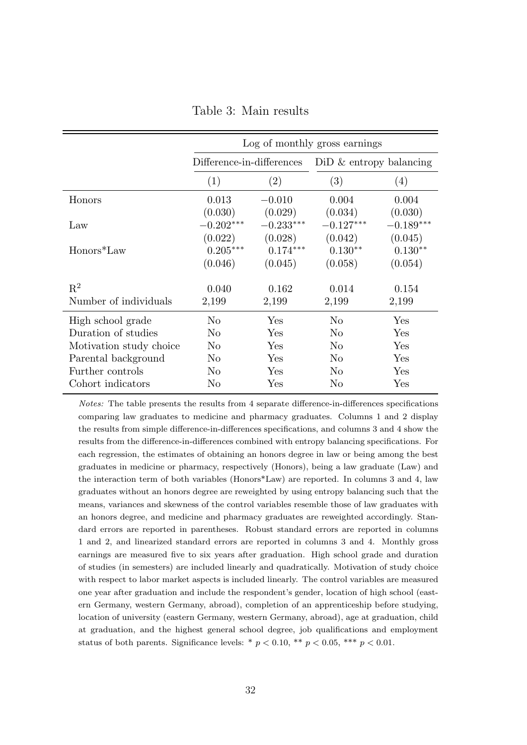Table 3: Main results

|                         | Log of monthly gross earnings |                   |                            |             |  |  |  |  |
|-------------------------|-------------------------------|-------------------|----------------------------|-------------|--|--|--|--|
|                         | Difference-in-differences     |                   | $DiD \&$ entropy balancing |             |  |  |  |  |
|                         | (1)                           | $\left( 2\right)$ | (3)                        | (4)         |  |  |  |  |
| Honors                  | 0.013                         | $-0.010$          | 0.004                      | 0.004       |  |  |  |  |
|                         | (0.030)                       | (0.029)           | (0.034)                    | (0.030)     |  |  |  |  |
| Law                     | $-0.202***$                   | $-0.233***$       | $-0.127***$                | $-0.189***$ |  |  |  |  |
|                         | (0.022)                       | (0.028)           | (0.042)                    | (0.045)     |  |  |  |  |
| Honors*Law              | $0.205***$                    | $0.174***$        | $0.130**$                  | $0.130**$   |  |  |  |  |
|                         | (0.046)                       | (0.045)           | (0.058)                    | (0.054)     |  |  |  |  |
| $\mathbf{R}^2$          | 0.040                         | 0.162             | 0.014                      | 0.154       |  |  |  |  |
| Number of individuals   | 2,199                         | 2,199             | 2,199                      | 2,199       |  |  |  |  |
| High school grade       | $\rm No$                      | Yes               | $\rm No$                   | Yes         |  |  |  |  |
| Duration of studies     | N <sub>o</sub>                | Yes               | $\rm No$                   | Yes         |  |  |  |  |
| Motivation study choice | $\rm No$                      | Yes               | $\rm No$                   | Yes         |  |  |  |  |
| Parental background     | $\rm No$                      | Yes               | N <sub>o</sub>             | Yes         |  |  |  |  |
| Further controls        | No                            | Yes               | N <sub>0</sub>             | Yes         |  |  |  |  |
| Cohort indicators       | $\rm No$                      | Yes               | No                         | Yes         |  |  |  |  |

Notes: The table presents the results from 4 separate difference-in-differences specifications comparing law graduates to medicine and pharmacy graduates. Columns 1 and 2 display the results from simple difference-in-differences specifications, and columns 3 and 4 show the results from the difference-in-differences combined with entropy balancing specifications. For each regression, the estimates of obtaining an honors degree in law or being among the best graduates in medicine or pharmacy, respectively (Honors), being a law graduate (Law) and the interaction term of both variables (Honors\*Law) are reported. In columns 3 and 4, law graduates without an honors degree are reweighted by using entropy balancing such that the means, variances and skewness of the control variables resemble those of law graduates with an honors degree, and medicine and pharmacy graduates are reweighted accordingly. Standard errors are reported in parentheses. Robust standard errors are reported in columns 1 and 2, and linearized standard errors are reported in columns 3 and 4. Monthly gross earnings are measured five to six years after graduation. High school grade and duration of studies (in semesters) are included linearly and quadratically. Motivation of study choice with respect to labor market aspects is included linearly. The control variables are measured one year after graduation and include the respondent's gender, location of high school (eastern Germany, western Germany, abroad), completion of an apprenticeship before studying, location of university (eastern Germany, western Germany, abroad), age at graduation, child at graduation, and the highest general school degree, job qualifications and employment status of both parents. Significance levels: \*  $p < 0.10$ , \*\*  $p < 0.05$ , \*\*\*  $p < 0.01$ .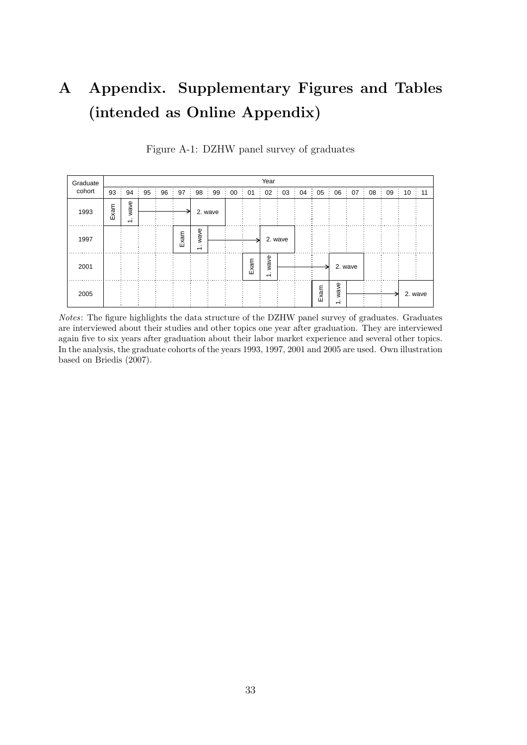# A Appendix. Supplementary Figures and Tables (intended as Online Appendix)

| Graduate |      |                                        |  |      |                        |         |      | Year                   |         |      |                                  |         |  |                                                                                              |  |
|----------|------|----------------------------------------|--|------|------------------------|---------|------|------------------------|---------|------|----------------------------------|---------|--|----------------------------------------------------------------------------------------------|--|
| cohort   |      |                                        |  |      |                        |         |      |                        |         |      |                                  |         |  | 93   94   95   96   97   98   99   00   01   02   03   04   05   06   07   08   09   10   11 |  |
| 1993     | Exam | wave<br>٠.<br>$\overline{\phantom{0}}$ |  |      |                        | 2. wave |      |                        |         |      |                                  |         |  |                                                                                              |  |
| 1997     |      |                                        |  | Exam | wave<br>$\overline{ }$ |         |      |                        | 2. wave |      |                                  |         |  |                                                                                              |  |
| 2001     |      |                                        |  |      |                        |         | Exam | wave<br>$\overline{ }$ |         |      |                                  | 2. wave |  |                                                                                              |  |
| 2005     |      |                                        |  |      |                        |         |      |                        |         | Exam | wave<br>$\overline{\phantom{0}}$ |         |  | 2. wave                                                                                      |  |

Figure A-1: DZHW panel survey of graduates

Notes: The figure highlights the data structure of the DZHW panel survey of graduates. Graduates are interviewed about their studies and other topics one year after graduation. They are interviewed again five to six years after graduation about their labor market experience and several other topics. In the analysis, the graduate cohorts of the years 1993, 1997, 2001 and 2005 are used. Own illustration based on Briedis (2007).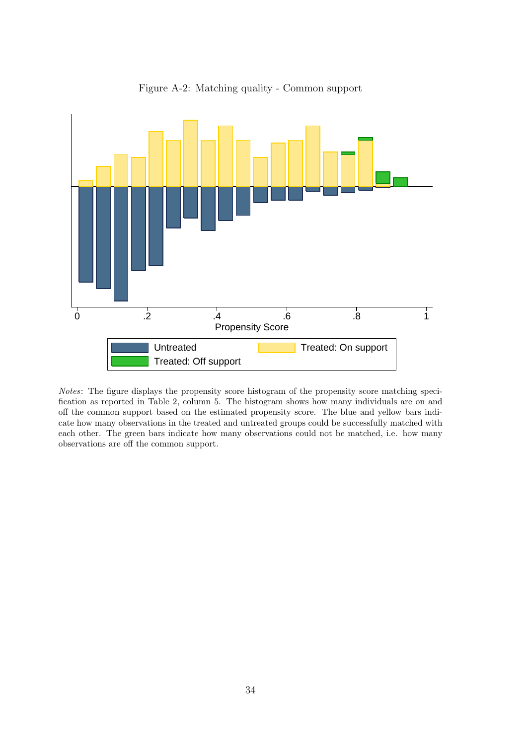

Figure A-2: Matching quality - Common support

Notes: The figure displays the propensity score histogram of the propensity score matching specification as reported in Table 2, column 5. The histogram shows how many individuals are on and off the common support based on the estimated propensity score. The blue and yellow bars indicate how many observations in the treated and untreated groups could be successfully matched with each other. The green bars indicate how many observations could not be matched, i.e. how many observations are off the common support.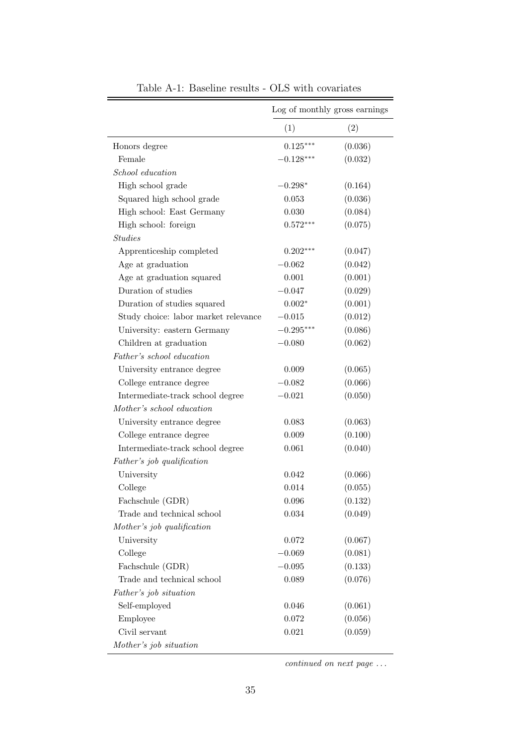|                                      | Log of monthly gross earnings |         |  |
|--------------------------------------|-------------------------------|---------|--|
|                                      | (1)                           | (2)     |  |
| Honors degree                        | $0.125***$                    | (0.036) |  |
| Female                               | $-0.128***$                   | (0.032) |  |
| School education                     |                               |         |  |
| High school grade                    | $-0.298*$                     | (0.164) |  |
| Squared high school grade            | 0.053                         | (0.036) |  |
| High school: East Germany            | $0.030\,$                     | (0.084) |  |
| High school: foreign                 | $0.572***$                    | (0.075) |  |
| <b>Studies</b>                       |                               |         |  |
| Apprenticeship completed             | $0.202***$                    | (0.047) |  |
| Age at graduation                    | $-0.062$                      | (0.042) |  |
| Age at graduation squared            | 0.001                         | (0.001) |  |
| Duration of studies                  | $-0.047$                      | (0.029) |  |
| Duration of studies squared          | $0.002*$                      | (0.001) |  |
| Study choice: labor market relevance | $-0.015$                      | (0.012) |  |
| University: eastern Germany          | $-0.295***$                   | (0.086) |  |
| Children at graduation               | $-0.080$                      | (0.062) |  |
| Father's school education            |                               |         |  |
| University entrance degree           | 0.009                         | (0.065) |  |
| College entrance degree              | $-0.082$                      | (0.066) |  |
| Intermediate-track school degree     | $-0.021$                      | (0.050) |  |
| Mother's school education            |                               |         |  |
| University entrance degree           | 0.083                         | (0.063) |  |
| College entrance degree              | 0.009                         | (0.100) |  |
| Intermediate-track school degree     | 0.061                         | (0.040) |  |
| Father's job qualification           |                               |         |  |
| University                           | 0.042                         | (0.066) |  |
| College                              | 0.014                         | (0.055) |  |
| Fachschule (GDR)                     | 0.096                         | (0.132) |  |
| Trade and technical school           | 0.034                         | (0.049) |  |
| Mother's job qualification           |                               |         |  |
| University                           | 0.072                         | (0.067) |  |
| College                              | $-0.069$                      | (0.081) |  |
| Fachschule (GDR)                     | $-0.095$                      | (0.133) |  |
| Trade and technical school           | 0.089                         | (0.076) |  |
| Father's job situation               |                               |         |  |
| Self-employed                        | 0.046                         | (0.061) |  |
| Employee                             | 0.072                         | (0.056) |  |
| Civil servant                        | 0.021                         | (0.059) |  |
| Mother's job situation               |                               |         |  |

Table A-1: Baseline results - OLS with covariates

Ĩ.

 $\equiv$ 

 $continued$   $on$   $next$   $page$   $\ldots$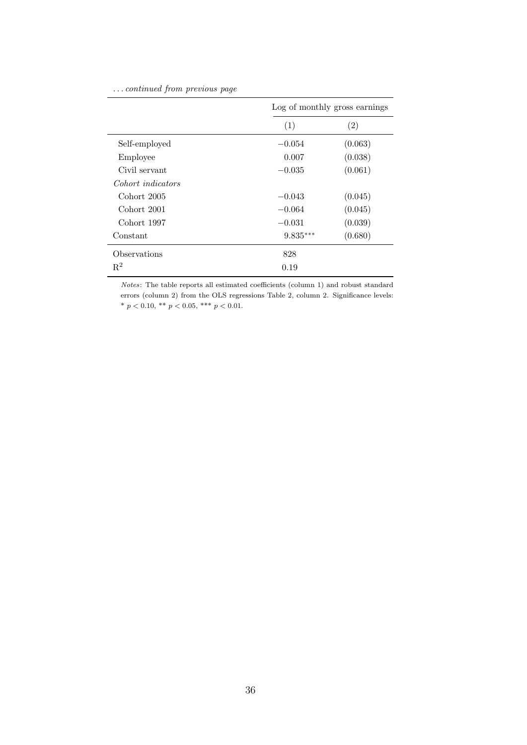|                   | Log of monthly gross earnings |         |  |
|-------------------|-------------------------------|---------|--|
|                   | (1)                           | (2)     |  |
| Self-employed     | $-0.054$                      | (0.063) |  |
| Employee          | 0.007                         | (0.038) |  |
| Civil servant     | $-0.035$                      | (0.061) |  |
| Cohort indicators |                               |         |  |
| Cohort 2005       | $-0.043$                      | (0.045) |  |
| Cohort 2001       | $-0.064$                      | (0.045) |  |
| Cohort 1997       | $-0.031$                      | (0.039) |  |
| Constant          | $9.835***$                    | (0.680) |  |
| Observations      | 828                           |         |  |
| $R^2$             | 0.19                          |         |  |

. . . continued from previous page

Notes: The table reports all estimated coefficients (column 1) and robust standard errors (column 2) from the OLS regressions Table 2, column 2. Significance levels: \*  $p < 0.10$ , \*\*  $p < 0.05$ , \*\*\*  $p < 0.01$ .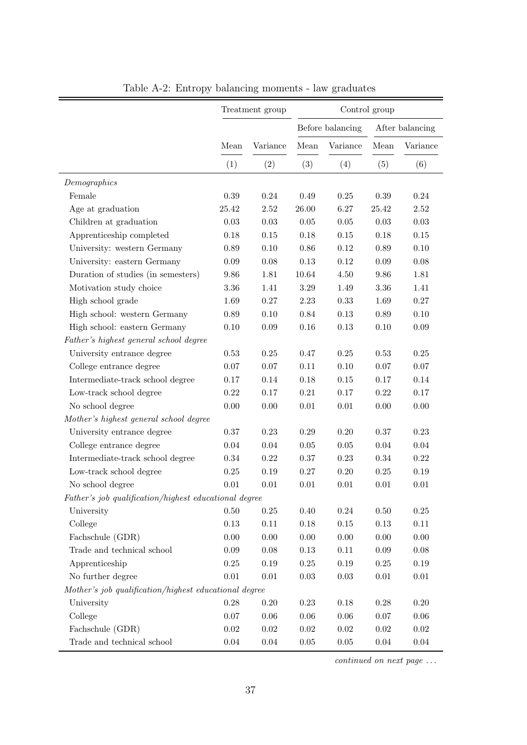|                                                       |            | Treatment group |          |                  | Control group |                 |  |  |
|-------------------------------------------------------|------------|-----------------|----------|------------------|---------------|-----------------|--|--|
|                                                       |            |                 |          | Before balancing |               | After balancing |  |  |
|                                                       | Mean       | Variance        | Mean     | Variance         | Mean          | Variance        |  |  |
|                                                       | (1)        | (2)             | (3)      | (4)              | (5)           | (6)             |  |  |
| Demographics                                          |            |                 |          |                  |               |                 |  |  |
| Female                                                | 0.39       | 0.24            | 0.49     | $0.25\,$         | 0.39          | 0.24            |  |  |
| Age at graduation                                     | 25.42      | 2.52            | 26.00    | 6.27             | 25.42         | 2.52            |  |  |
| Children at graduation                                | $\,0.03\,$ | 0.03            | 0.05     | $0.05\,$         | 0.03          | $\,0.03\,$      |  |  |
| Apprenticeship completed                              | 0.18       | 0.15            | 0.18     | $0.15\,$         | 0.18          | $0.15\,$        |  |  |
| University: western Germany                           | 0.89       | 0.10            | 0.86     | $0.12\,$         | 0.89          | 0.10            |  |  |
| University: eastern Germany                           | $0.09\,$   | 0.08            | 0.13     | 0.12             | 0.09          | 0.08            |  |  |
| Duration of studies (in semesters)                    | 9.86       | 1.81            | 10.64    | 4.50             | 9.86          | 1.81            |  |  |
| Motivation study choice                               | 3.36       | 1.41            | 3.29     | 1.49             | 3.36          | 1.41            |  |  |
| High school grade                                     | 1.69       | 0.27            | 2.23     | 0.33             | 1.69          | 0.27            |  |  |
| High school: western Germany                          | 0.89       | 0.10            | 0.84     | 0.13             | 0.89          | 0.10            |  |  |
| High school: eastern Germany                          | $0.10\,$   | $0.09\,$        | 0.16     | 0.13             | 0.10          | 0.09            |  |  |
| Father's highest general school degree                |            |                 |          |                  |               |                 |  |  |
| University entrance degree                            | 0.53       | 0.25            | 0.47     | 0.25             | 0.53          | 0.25            |  |  |
| College entrance degree                               | 0.07       | 0.07            | 0.11     | 0.10             | 0.07          | 0.07            |  |  |
| Intermediate-track school degree                      | 0.17       | 0.14            | 0.18     | 0.15             | 0.17          | 0.14            |  |  |
| Low-track school degree                               | 0.22       | 0.17            | 0.21     | 0.17             | 0.22          | 0.17            |  |  |
| No school degree                                      | 0.00       | 0.00            | $0.01\,$ | $0.01\,$         | 0.00          | $0.00\,$        |  |  |
| Mother's highest general school degree                |            |                 |          |                  |               |                 |  |  |
| University entrance degree                            | $0.37\,$   | 0.23            | 0.29     | 0.20             | 0.37          | 0.23            |  |  |
| College entrance degree                               | 0.04       | 0.04            | 0.05     | $0.05\,$         | 0.04          | 0.04            |  |  |
| Intermediate-track school degree                      | 0.34       | $0.22\,$        | $0.37\,$ | 0.23             | 0.34          | 0.22            |  |  |
| Low-track school degree                               | $0.25\,$   | 0.19            | 0.27     | 0.20             | 0.25          | 0.19            |  |  |
| No school degree                                      | 0.01       | $0.01\,$        | 0.01     | 0.01             | $0.01\,$      | 0.01            |  |  |
| Father's job qualification/highest educational degree |            |                 |          |                  |               |                 |  |  |
| University                                            | $0.50\,$   | $0.25\,$        | $0.40\,$ | $0.24\,$         | $0.50\,$      | $0.25\,$        |  |  |
| College                                               | $0.13\,$   | $0.11\,$        | $0.18\,$ | $0.15\,$         | $0.13\,$      | $0.11\,$        |  |  |
| Fachschule (GDR)                                      | 0.00       | 0.00            | 0.00     | $0.00\,$         | 0.00          | 0.00            |  |  |
| Trade and technical school                            | $0.09\,$   | $0.08\,$        | $0.13\,$ | $0.11\,$         | $0.09\,$      | $0.08\,$        |  |  |
| Apprenticeship                                        | 0.25       | 0.19            | 0.25     | $0.19\,$         | $0.25\,$      | $0.19\,$        |  |  |
| No further degree                                     | $0.01\,$   | $0.01\,$        | $0.03\,$ | $0.03\,$         | $0.01\,$      | $0.01\,$        |  |  |
| Mother's job qualification/highest educational degree |            |                 |          |                  |               |                 |  |  |
| University                                            | $0.28\,$   | $0.20\,$        | 0.23     | 0.18             | $0.28\,$      | $0.20\,$        |  |  |
| College                                               | $0.07\,$   | $0.06\,$        | $0.06\,$ | 0.06             | 0.07          | $0.06\,$        |  |  |
| Fachschule (GDR)                                      | $\rm 0.02$ | $\rm 0.02$      | $0.02\,$ | $0.02\,$         | 0.02          | 0.02            |  |  |
| Trade and technical school                            | $0.04\,$   | $0.04\,$        | $0.05\,$ | $0.05\,$         | $0.04\,$      | 0.04            |  |  |

Table A-2: Entropy balancing moments - law graduates

 $continued$   $on$   $next$   $page$   $\ldots$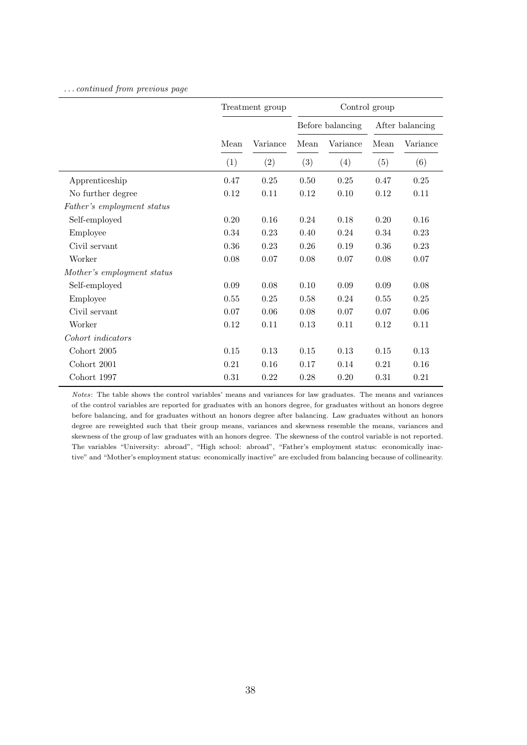|  | $\ldots$ continued from previous page |  |  |
|--|---------------------------------------|--|--|

|                            |          | Treatment group | Control group |                  |          |                 |  |
|----------------------------|----------|-----------------|---------------|------------------|----------|-----------------|--|
|                            |          |                 |               | Before balancing |          | After balancing |  |
|                            | Mean     | Variance        | Mean          | Variance         | Mean     | Variance        |  |
|                            | (1)      | (2)             | (3)           | (4)              | (5)      | (6)             |  |
| Apprenticeship             | 0.47     | 0.25            | 0.50          | 0.25             | 0.47     | 0.25            |  |
| No further degree          | $0.12\,$ | 0.11            | 0.12          | 0.10             | 0.12     | 0.11            |  |
| Father's employment status |          |                 |               |                  |          |                 |  |
| Self-employed              | 0.20     | 0.16            | 0.24          | 0.18             | 0.20     | 0.16            |  |
| Employee                   | 0.34     | 0.23            | 0.40          | 0.24             | 0.34     | 0.23            |  |
| Civil servant              | 0.36     | 0.23            | 0.26          | 0.19             | $0.36\,$ | 0.23            |  |
| Worker                     | $0.08\,$ | 0.07            | 0.08          | 0.07             | 0.08     | 0.07            |  |
| Mother's employment status |          |                 |               |                  |          |                 |  |
| Self-employed              | 0.09     | 0.08            | 0.10          | 0.09             | 0.09     | 0.08            |  |
| Employee                   | 0.55     | 0.25            | 0.58          | 0.24             | 0.55     | 0.25            |  |
| Civil servant              | 0.07     | 0.06            | 0.08          | 0.07             | 0.07     | 0.06            |  |
| Worker                     | $0.12\,$ | 0.11            | 0.13          | 0.11             | 0.12     | 0.11            |  |
| Cohort indicators          |          |                 |               |                  |          |                 |  |
| Cohort 2005                | $0.15\,$ | 0.13            | 0.15          | 0.13             | $0.15\,$ | 0.13            |  |
| Cohort 2001                | 0.21     | 0.16            | 0.17          | 0.14             | 0.21     | 0.16            |  |
| Cohort 1997                | 0.31     | 0.22            | 0.28          | 0.20             | 0.31     | 0.21            |  |

Notes: The table shows the control variables' means and variances for law graduates. The means and variances of the control variables are reported for graduates with an honors degree, for graduates without an honors degree before balancing, and for graduates without an honors degree after balancing. Law graduates without an honors degree are reweighted such that their group means, variances and skewness resemble the means, variances and skewness of the group of law graduates with an honors degree. The skewness of the control variable is not reported. The variables "University: abroad", "High school: abroad", "Father's employment status: economically inactive" and "Mother's employment status: economically inactive" are excluded from balancing because of collinearity.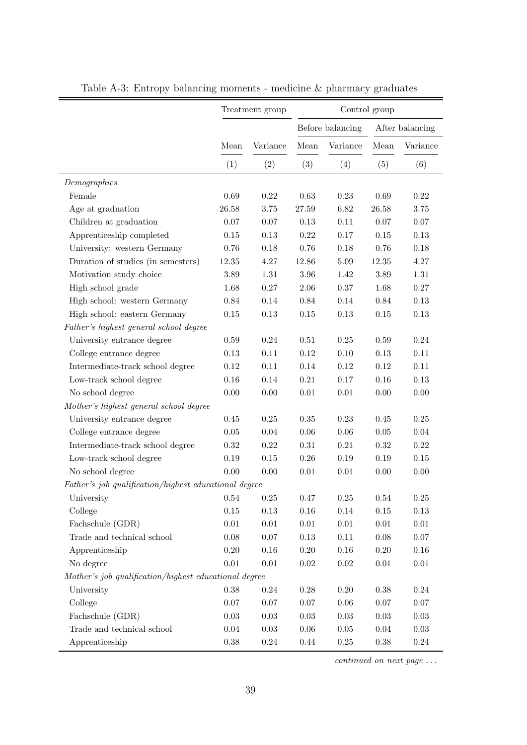|                                                       |            | Treatment group | Control group |                  |          |                 |
|-------------------------------------------------------|------------|-----------------|---------------|------------------|----------|-----------------|
|                                                       |            |                 |               | Before balancing |          | After balancing |
|                                                       | Mean       | Variance        | Mean          | Variance         | Mean     | Variance        |
|                                                       | (1)        | (2)             | (3)           | (4)              | (5)      | (6)             |
| Demographics                                          |            |                 |               |                  |          |                 |
| Female                                                | 0.69       | 0.22            | 0.63          | 0.23             | 0.69     | 0.22            |
| Age at graduation                                     | 26.58      | 3.75            | 27.59         | 6.82             | 26.58    | 3.75            |
| Children at graduation                                | $0.07\,$   | 0.07            | 0.13          | 0.11             | 0.07     | 0.07            |
| Apprenticeship completed                              | 0.15       | 0.13            | 0.22          | 0.17             | 0.15     | 0.13            |
| University: western Germany                           | 0.76       | 0.18            | 0.76          | $0.18\,$         | 0.76     | 0.18            |
| Duration of studies (in semesters)                    | 12.35      | 4.27            | 12.86         | 5.09             | 12.35    | 4.27            |
| Motivation study choice                               | 3.89       | $1.31\,$        | 3.96          | 1.42             | 3.89     | 1.31            |
| High school grade                                     | 1.68       | 0.27            | 2.06          | 0.37             | 1.68     | $0.27\,$        |
| High school: western Germany                          | 0.84       | $0.14\,$        | 0.84          | 0.14             | 0.84     | $0.13\,$        |
| High school: eastern Germany                          | 0.15       | 0.13            | 0.15          | 0.13             | 0.15     | 0.13            |
| Father's highest general school degree                |            |                 |               |                  |          |                 |
| University entrance degree                            | 0.59       | 0.24            | 0.51          | $0.25\,$         | 0.59     | 0.24            |
| College entrance degree                               | 0.13       | 0.11            | 0.12          | $0.10\,$         | 0.13     | 0.11            |
| Intermediate-track school degree                      | 0.12       | $0.11\,$        | 0.14          | 0.12             | 0.12     | 0.11            |
| Low-track school degree                               | $0.16\,$   | 0.14            | $\rm 0.21$    | $0.17\,$         | 0.16     | 0.13            |
| No school degree                                      | $0.00\,$   | 0.00            | $0.01\,$      | $0.01\,$         | $0.00\,$ | $0.00\,$        |
| Mother's highest general school degree                |            |                 |               |                  |          |                 |
| University entrance degree                            | 0.45       | 0.25            | $0.35\,$      | 0.23             | 0.45     | 0.25            |
| College entrance degree                               | 0.05       | 0.04            | 0.06          | 0.06             | $0.05\,$ | 0.04            |
| Intermediate-track school degree                      | 0.32       | $0.22\,$        | 0.31          | 0.21             | 0.32     | 0.22            |
| Low-track school degree                               | 0.19       | 0.15            | 0.26          | 0.19             | 0.19     | $0.15\,$        |
| No school degree                                      | 0.00       | 0.00            | $0.01\,$      | $0.01\,$         | $0.00\,$ | $0.00\,$        |
| Father's job qualification/highest educational degree |            |                 |               |                  |          |                 |
| University                                            | $\rm 0.54$ | $0.25\,$        | $0.47\,$      | $0.25\,$         | $0.54\,$ | $0.25\,$        |
| College                                               | $0.15\,$   | $0.13\,$        | $0.16\,$      | $0.14\,$         | $0.15\,$ | $0.13\,$        |
| Fachschule (GDR)                                      | $0.01\,$   | $0.01\,$        | $0.01\,$      | $0.01\,$         | $0.01\,$ | $0.01\,$        |
| Trade and technical school                            | 0.08       | $0.07\,$        | 0.13          | 0.11             | $0.08\,$ | 0.07            |
| Apprenticeship                                        | $0.20\,$   | $0.16\,$        | $0.20\,$      | $0.16\,$         | $0.20\,$ | $0.16\,$        |
| No degree                                             | $0.01\,$   | $0.01\,$        | 0.02          | 0.02             | $0.01\,$ | 0.01            |
| Mother's job qualification/highest educational degree |            |                 |               |                  |          |                 |
| University                                            | $0.38\,$   | $0.24\,$        | $0.28\,$      | $0.20\,$         | $0.38\,$ | 0.24            |
| College                                               | $0.07\,$   | $0.07\,$        | 0.07          | $0.06\,$         | $0.07\,$ | 0.07            |
| Fachschule (GDR)                                      | $0.03\,$   | $0.03\,$        | $0.03\,$      | $0.03\,$         | $0.03\,$ | 0.03            |
| Trade and technical school                            | $0.04\,$   | $0.03\,$        | $0.06\,$      | $0.05\,$         | $0.04\,$ | 0.03            |
| Apprenticeship                                        | $0.38\,$   | $0.24\,$        | 0.44          | $0.25\,$         | $0.38\,$ | $0.24\,$        |

Table A-3: Entropy balancing moments - medicine & pharmacy graduates

 $continued$   $on$   $next$   $page$   $\ldots$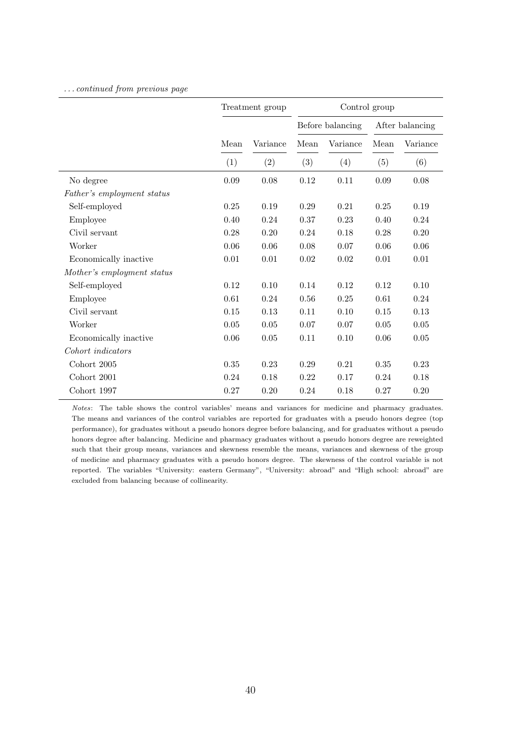|  | $\ldots$ continued from previous page |  |  |
|--|---------------------------------------|--|--|

|                            | Treatment group |          |      | Control group    |                 |          |  |
|----------------------------|-----------------|----------|------|------------------|-----------------|----------|--|
|                            |                 |          |      | Before balancing | After balancing |          |  |
|                            | Mean            | Variance | Mean | Variance         | Mean            | Variance |  |
|                            | (1)             | (2)      | (3)  | (4)              | (5)             | (6)      |  |
| No degree                  | 0.09            | 0.08     | 0.12 | 0.11             | 0.09            | 0.08     |  |
| Father's employment status |                 |          |      |                  |                 |          |  |
| Self-employed              | 0.25            | 0.19     | 0.29 | 0.21             | 0.25            | 0.19     |  |
| Employee                   | 0.40            | 0.24     | 0.37 | 0.23             | 0.40            | 0.24     |  |
| Civil servant              | 0.28            | 0.20     | 0.24 | 0.18             | 0.28            | 0.20     |  |
| Worker                     | 0.06            | 0.06     | 0.08 | 0.07             | 0.06            | 0.06     |  |
| Economically inactive      | 0.01            | 0.01     | 0.02 | 0.02             | 0.01            | 0.01     |  |
| Mother's employment status |                 |          |      |                  |                 |          |  |
| Self-employed              | 0.12            | 0.10     | 0.14 | 0.12             | 0.12            | 0.10     |  |
| Employee                   | 0.61            | 0.24     | 0.56 | 0.25             | 0.61            | 0.24     |  |
| Civil servant              | 0.15            | 0.13     | 0.11 | 0.10             | 0.15            | 0.13     |  |
| Worker                     | 0.05            | 0.05     | 0.07 | 0.07             | 0.05            | $0.05\,$ |  |
| Economically inactive      | $0.06\,$        | $0.05\,$ | 0.11 | 0.10             | $0.06\,$        | $0.05\,$ |  |
| Cohort indicators          |                 |          |      |                  |                 |          |  |
| Cohort 2005                | 0.35            | 0.23     | 0.29 | 0.21             | 0.35            | 0.23     |  |
| Cohort 2001                | 0.24            | 0.18     | 0.22 | 0.17             | 0.24            | 0.18     |  |
| Cohort 1997                | 0.27            | 0.20     | 0.24 | 0.18             | 0.27            | 0.20     |  |

Notes: The table shows the control variables' means and variances for medicine and pharmacy graduates. The means and variances of the control variables are reported for graduates with a pseudo honors degree (top performance), for graduates without a pseudo honors degree before balancing, and for graduates without a pseudo honors degree after balancing. Medicine and pharmacy graduates without a pseudo honors degree are reweighted such that their group means, variances and skewness resemble the means, variances and skewness of the group of medicine and pharmacy graduates with a pseudo honors degree. The skewness of the control variable is not reported. The variables "University: eastern Germany", "University: abroad" and "High school: abroad" are excluded from balancing because of collinearity.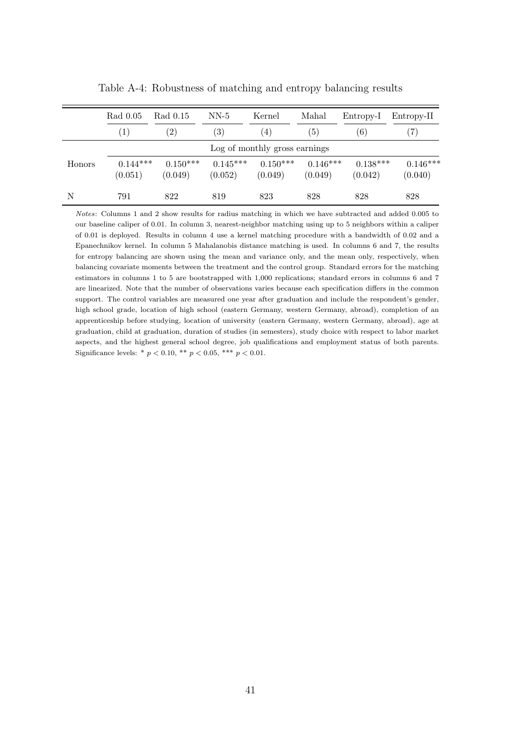|        | Rad 0.05              | Rad 0.15              | $NN-5$                | Kernel                        | Mahal                 | Entropy-I             | Entropy-II            |
|--------|-----------------------|-----------------------|-----------------------|-------------------------------|-----------------------|-----------------------|-----------------------|
|        | $\left[1\right]$      | (2)                   | $\left( 3\right)$     | (4)                           | (5)                   | (6)                   | $\left( 7\right)$     |
|        |                       |                       |                       | Log of monthly gross earnings |                       |                       |                       |
| Honors | $0.144***$<br>(0.051) | $0.150***$<br>(0.049) | $0.145***$<br>(0.052) | $0.150***$<br>(0.049)         | $0.146***$<br>(0.049) | $0.138***$<br>(0.042) | $0.146***$<br>(0.040) |
| N      | 791                   | 822                   | 819                   | 823                           | 828                   | 828                   | 828                   |

Table A-4: Robustness of matching and entropy balancing results

Notes: Columns 1 and 2 show results for radius matching in which we have subtracted and added 0.005 to our baseline caliper of 0.01. In column 3, nearest-neighbor matching using up to 5 neighbors within a caliper of 0.01 is deployed. Results in column 4 use a kernel matching procedure with a bandwidth of 0.02 and a Epanechnikov kernel. In column 5 Mahalanobis distance matching is used. In columns 6 and 7, the results for entropy balancing are shown using the mean and variance only, and the mean only, respectively, when balancing covariate moments between the treatment and the control group. Standard errors for the matching estimators in columns 1 to 5 are bootstrapped with 1,000 replications; standard errors in columns 6 and 7 are linearized. Note that the number of observations varies because each specification differs in the common support. The control variables are measured one year after graduation and include the respondent's gender, high school grade, location of high school (eastern Germany, western Germany, abroad), completion of an apprenticeship before studying, location of university (eastern Germany, western Germany, abroad), age at graduation, child at graduation, duration of studies (in semesters), study choice with respect to labor market aspects, and the highest general school degree, job qualifications and employment status of both parents. Significance levels: \*  $p < 0.10$ , \*\*  $p < 0.05$ , \*\*\*  $p < 0.01$ .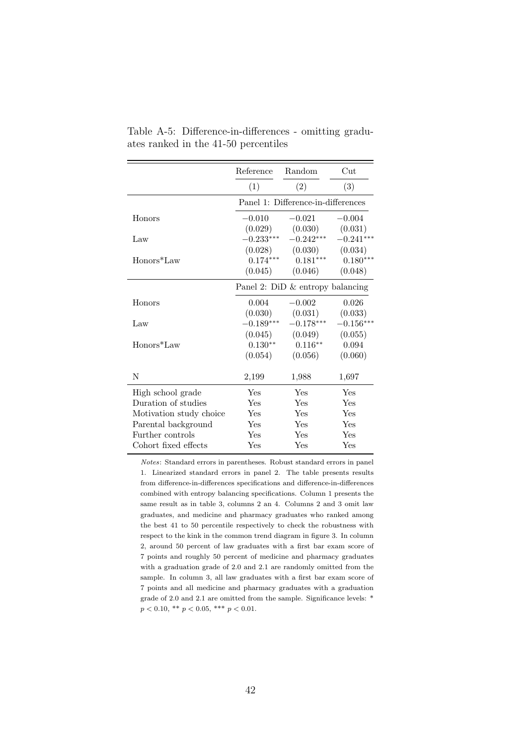|                         | Reference   | Random                              | Cut         |
|-------------------------|-------------|-------------------------------------|-------------|
|                         | (1)         | (2)                                 | (3)         |
|                         |             | Panel 1: Difference-in-differences  |             |
| Honors                  | $-0.010$    | $-0.021$                            | $-0.004$    |
|                         | (0.029)     | (0.030)                             | (0.031)     |
| Law                     | $-0.233***$ | $-0.242***$                         | $-0.241***$ |
|                         | (0.028)     | (0.030)                             | (0.034)     |
| Honors*Law              | $0.174***$  | $0.181***$                          | $0.180***$  |
|                         | (0.045)     | (0.046)                             | (0.048)     |
|                         |             | Panel 2: $DiD \&$ entropy balancing |             |
| Honors                  | 0.004       | $-0.002$                            | 0.026       |
|                         | (0.030)     | (0.031)                             | (0.033)     |
| Law                     | $-0.189***$ | $-0.178***$                         | $-0.156***$ |
|                         | (0.045)     | (0.049)                             | (0.055)     |
| Honors*Law              | $0.130**$   | $0.116***$                          | 0.094       |
|                         | (0.054)     | (0.056)                             | (0.060)     |
| N                       | 2,199       | 1,988                               | 1,697       |
| High school grade       | Yes         | Yes                                 | Yes         |
| Duration of studies     | Yes         | Yes                                 | Yes         |
| Motivation study choice | Yes         | Yes                                 | Yes         |
| Parental background     | Yes         | Yes                                 | Yes         |
| Further controls        | Yes         | Yes                                 | Yes         |
| Cohort fixed effects    | Yes         | Yes                                 | Yes         |

Table A-5: Difference-in-differences - omitting graduates ranked in the 41-50 percentiles

Notes: Standard errors in parentheses. Robust standard errors in panel 1. Linearized standard errors in panel 2. The table presents results from difference-in-differences specifications and difference-in-differences combined with entropy balancing specifications. Column 1 presents the same result as in table 3, columns 2 an 4. Columns 2 and 3 omit law graduates, and medicine and pharmacy graduates who ranked among the best 41 to 50 percentile respectively to check the robustness with respect to the kink in the common trend diagram in figure 3. In column 2, around 50 percent of law graduates with a first bar exam score of 7 points and roughly 50 percent of medicine and pharmacy graduates with a graduation grade of 2.0 and 2.1 are randomly omitted from the sample. In column 3, all law graduates with a first bar exam score of 7 points and all medicine and pharmacy graduates with a graduation grade of 2.0 and 2.1 are omitted from the sample. Significance levels: \*  $p < 0.10,$  \*\*  $p < 0.05,$  \*\*\*  $p < 0.01$ .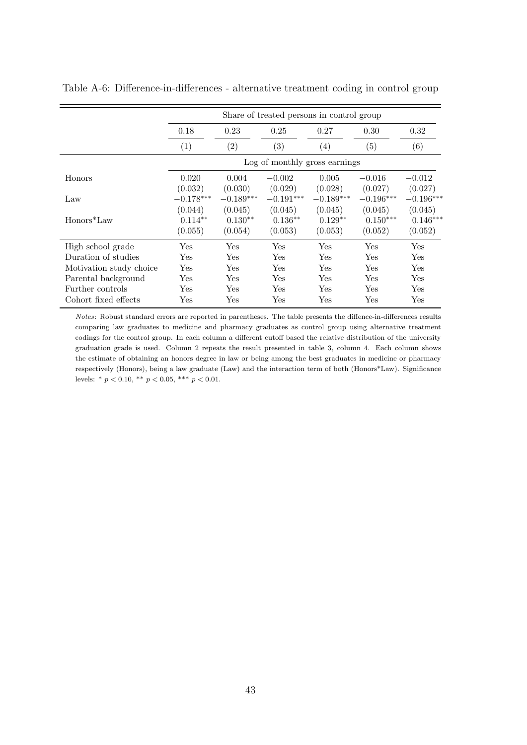|                         | Share of treated persons in control group |                      |                      |                      |             |                      |
|-------------------------|-------------------------------------------|----------------------|----------------------|----------------------|-------------|----------------------|
|                         | 0.18                                      | 0.23                 | 0.25                 | 0.27                 | 0.30        | 0.32                 |
|                         | (1)                                       | (2)                  | $\left( 3\right)$    | (4)                  | (5)         | (6)                  |
|                         | Log of monthly gross earnings             |                      |                      |                      |             |                      |
| Honors                  | 0.020                                     | 0.004                | $-0.002$             | 0.005                | $-0.016$    | $-0.012$             |
|                         | (0.032)                                   | (0.030)              | (0.029)              | (0.028)              | (0.027)     | (0.027)              |
| Law                     | $-0.178^{\ast\ast\ast}$                   | $-0.189***$          | $-0.191***$          | $-0.189***$          | $-0.196***$ | $-0.196***$          |
|                         | (0.044)                                   | (0.045)              | (0.045)              | (0.045)              | (0.045)     | (0.045)              |
| Honors*Law              | $0.114**$                                 | $0.130**$            | $0.136**$            | $0.129**$            | $0.150***$  | $0.146***$           |
|                         | (0.055)                                   | (0.054)              | (0.053)              | (0.053)              | (0.052)     | (0.052)              |
| High school grade       | $\operatorname{Yes}$                      | Yes                  | $\operatorname{Yes}$ | Yes                  | Yes         | $\operatorname{Yes}$ |
| Duration of studies     | $\operatorname{Yes}$                      | $\operatorname{Yes}$ | Yes                  | $_{\rm Yes}$         | Yes         | Yes                  |
| Motivation study choice | $\operatorname{Yes}$                      | $\operatorname{Yes}$ | Yes                  | $\operatorname{Yes}$ | Yes         | Yes                  |
| Parental background     | Yes                                       | $\operatorname{Yes}$ | Yes                  | Yes                  | Yes         | Yes                  |
| Further controls        | Yes                                       | $\operatorname{Yes}$ | Yes                  | $_{\rm Yes}$         | Yes         | $\operatorname{Yes}$ |
| Cohort fixed effects    | Yes                                       | Yes                  | Yes                  | $\operatorname{Yes}$ | Yes         | Yes                  |

Table A-6: Difference-in-differences - alternative treatment coding in control group

Notes: Robust standard errors are reported in parentheses. The table presents the diffence-in-differences results comparing law graduates to medicine and pharmacy graduates as control group using alternative treatment codings for the control group. In each column a different cutoff based the relative distribution of the university graduation grade is used. Column 2 repeats the result presented in table 3, column 4. Each column shows the estimate of obtaining an honors degree in law or being among the best graduates in medicine or pharmacy respectively (Honors), being a law graduate (Law) and the interaction term of both (Honors\*Law). Significance levels: \*  $p < 0.10$ , \*\*  $p < 0.05$ , \*\*\*  $p < 0.01$ .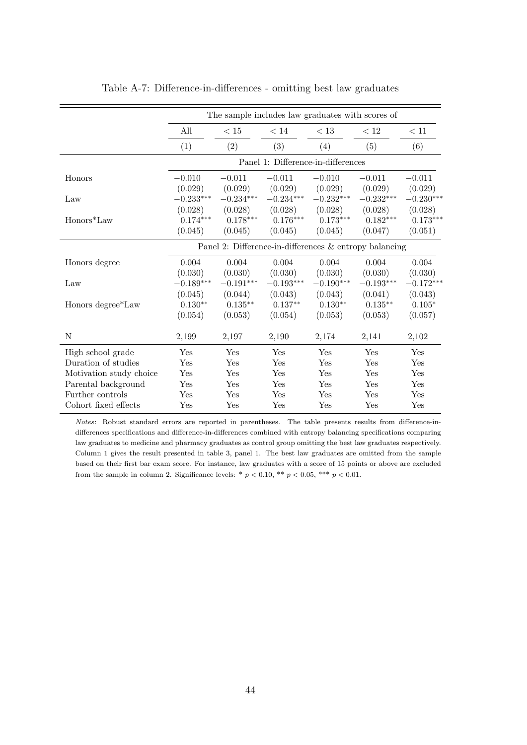|                         | The sample includes law graduates with scores of |             |             |             |                                                        |             |
|-------------------------|--------------------------------------------------|-------------|-------------|-------------|--------------------------------------------------------|-------------|
|                         | All                                              | < 15        | $<14\,$     | $<13\,$     | < 12                                                   | < 11        |
|                         | (1)                                              | (2)         | (3)         | (4)         | (5)                                                    | (6)         |
|                         | Panel 1: Difference-in-differences               |             |             |             |                                                        |             |
| Honors                  | $-0.010$                                         | $-0.011$    | $-0.011$    | $-0.010$    | $-0.011$                                               | $-0.011$    |
|                         | (0.029)                                          | (0.029)     | (0.029)     | (0.029)     | (0.029)                                                | (0.029)     |
| Law                     | $-0.233***$                                      | $-0.234***$ | $-0.234***$ | $-0.232***$ | $-0.232***$                                            | $-0.230***$ |
|                         | (0.028)                                          | (0.028)     | (0.028)     | (0.028)     | (0.028)                                                | (0.028)     |
| Honors*Law              | $0.174***$                                       | $0.178***$  | $0.176***$  | $0.173***$  | $0.182***$                                             | $0.173***$  |
|                         | (0.045)                                          | (0.045)     | (0.045)     | (0.045)     | (0.047)                                                | (0.051)     |
|                         |                                                  |             |             |             | Panel 2: Difference-in-differences & entropy balancing |             |
| Honors degree           | 0.004                                            | 0.004       | 0.004       | 0.004       | 0.004                                                  | 0.004       |
|                         | (0.030)                                          | (0.030)     | (0.030)     | (0.030)     | (0.030)                                                | (0.030)     |
| Law                     | $-0.189***$                                      | $-0.191***$ | $-0.193***$ | $-0.190***$ | $-0.193***$                                            | $-0.172***$ |
|                         | (0.045)                                          | (0.044)     | (0.043)     | (0.043)     | (0.041)                                                | (0.043)     |
| Honors degree*Law       | $0.130**$                                        | $0.135***$  | $0.137**$   | $0.130**$   | $0.135***$                                             | $0.105*$    |
|                         | (0.054)                                          | (0.053)     | (0.054)     | (0.053)     | (0.053)                                                | (0.057)     |
| $\mathbf N$             | 2,199                                            | 2,197       | 2,190       | 2,174       | 2,141                                                  | 2,102       |
| High school grade       | Yes                                              | Yes         | Yes         | Yes         | Yes                                                    | Yes         |
| Duration of studies     | Yes                                              | Yes         | Yes         | Yes         | Yes                                                    | Yes         |
| Motivation study choice | Yes                                              | Yes         | Yes         | Yes         | Yes                                                    | Yes         |
| Parental background     | Yes                                              | Yes         | Yes         | Yes         | Yes                                                    | Yes         |
| Further controls        | Yes                                              | Yes         | Yes         | Yes         | Yes                                                    | Yes         |
| Cohort fixed effects    | Yes                                              | Yes         | Yes         | Yes         | Yes                                                    | Yes         |

Table A-7: Difference-in-differences - omitting best law graduates

Notes: Robust standard errors are reported in parentheses. The table presents results from difference-indifferences specifications and difference-in-differences combined with entropy balancing specifications comparing law graduates to medicine and pharmacy graduates as control group omitting the best law graduates respectively. Column 1 gives the result presented in table 3, panel 1. The best law graduates are omitted from the sample based on their first bar exam score. For instance, law graduates with a score of 15 points or above are excluded from the sample in column 2. Significance levels: \*  $p < 0.10$ , \*\*  $p < 0.05$ , \*\*\*  $p < 0.01$ .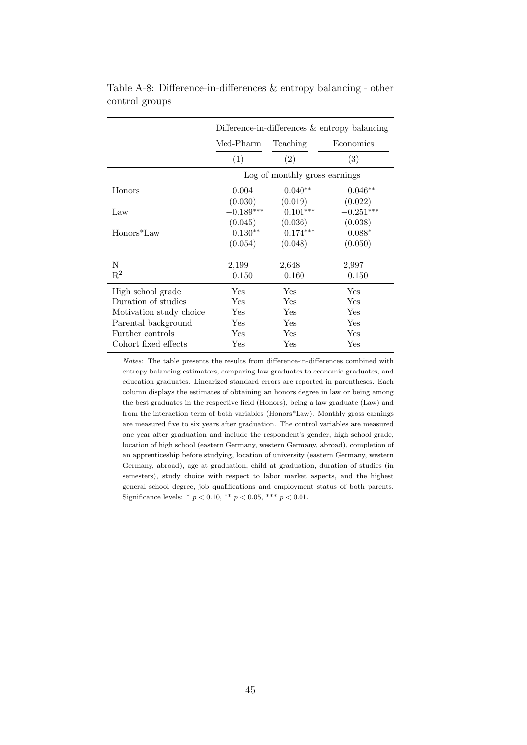|                         |                      |                               | Difference-in-differences $&$ entropy balancing |  |  |  |  |
|-------------------------|----------------------|-------------------------------|-------------------------------------------------|--|--|--|--|
|                         | Med-Pharm            | Teaching                      | Economics                                       |  |  |  |  |
|                         | (1)                  | (2)                           | (3)                                             |  |  |  |  |
|                         |                      | Log of monthly gross earnings |                                                 |  |  |  |  |
| Honors                  | 0.004                | $-0.040**$                    | $0.046**$                                       |  |  |  |  |
|                         | (0.030)              | (0.019)                       | (0.022)                                         |  |  |  |  |
| Law                     | $-0.189***$          | $0.101***$                    | $-0.251***$                                     |  |  |  |  |
|                         | (0.045)              | (0.036)                       | (0.038)                                         |  |  |  |  |
| Honors*Law              | $0.130**$            | $0.174***$                    | $0.088*$                                        |  |  |  |  |
|                         | (0.054)              | (0.048)                       | (0.050)                                         |  |  |  |  |
| N                       | 2,199                | 2,648                         | 2,997                                           |  |  |  |  |
| $\mathbf{R}^2$          | 0.150                | 0.160                         | 0.150                                           |  |  |  |  |
| High school grade       | Yes                  | Yes                           | Yes                                             |  |  |  |  |
| Duration of studies     | Yes                  | Yes                           | Yes                                             |  |  |  |  |
| Motivation study choice | Yes                  | Yes                           | Yes                                             |  |  |  |  |
| Parental background     | Yes                  | Yes                           | Yes                                             |  |  |  |  |
| Further controls        | Yes                  | Yes                           | Yes                                             |  |  |  |  |
| Cohort fixed effects    | $\operatorname{Yes}$ | $\operatorname{Yes}$          | $_{\rm Yes}$                                    |  |  |  |  |

Table A-8: Difference-in-differences & entropy balancing - other control groups

 $Notes:$  The table presents the results from difference-in-differences combined with entropy balancing estimators, comparing law graduates to economic graduates, and education graduates. Linearized standard errors are reported in parentheses. Each column displays the estimates of obtaining an honors degree in law or being among the best graduates in the respective field (Honors), being a law graduate (Law) and from the interaction term of both variables (Honors\*Law). Monthly gross earnings are measured five to six years after graduation. The control variables are measured one year after graduation and include the respondent's gender, high school grade, location of high school (eastern Germany, western Germany, abroad), completion of an apprenticeship before studying, location of university (eastern Germany, western Germany, abroad), age at graduation, child at graduation, duration of studies (in semesters), study choice with respect to labor market aspects, and the highest general school degree, job qualifications and employment status of both parents. Significance levels: \* $p < 0.10,$  \*\* $p < 0.05,$  \*\*\*  $p < 0.01.$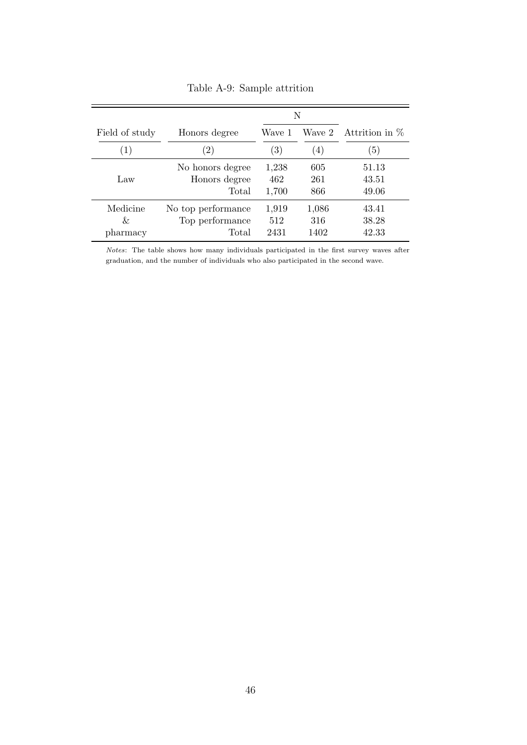| Field of study            | Honors degree                                  | Wave 1                |                      | Wave 2 Attrition in $%$ |
|---------------------------|------------------------------------------------|-----------------------|----------------------|-------------------------|
| (1)                       | $\left( 2\right)$                              | $\left( 3\right)$     | (4)                  | (5)                     |
| Law                       | No honors degree<br>Honors degree<br>Total     | 1,238<br>462<br>1,700 | 605<br>261<br>866    | 51.13<br>43.51<br>49.06 |
| Medicine<br>&<br>pharmacy | No top performance<br>Top performance<br>Total | 1,919<br>512<br>2431  | 1,086<br>316<br>1402 | 43.41<br>38.28<br>42.33 |

Table A-9: Sample attrition

Notes: The table shows how many individuals participated in the first survey waves after graduation, and the number of individuals who also participated in the second wave.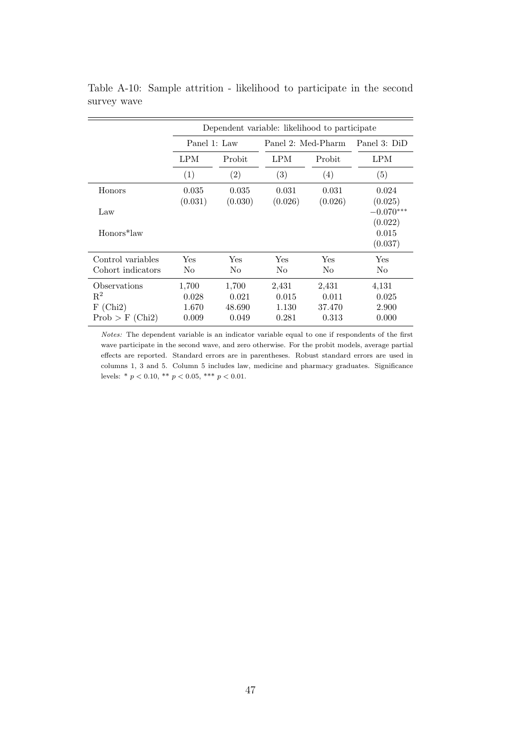|                                                           | Dependent variable: likelihood to participate |                          |                         |                          |                             |  |
|-----------------------------------------------------------|-----------------------------------------------|--------------------------|-------------------------|--------------------------|-----------------------------|--|
|                                                           | Panel 1: Law                                  |                          |                         | Panel 2: Med-Pharm       |                             |  |
|                                                           | LPM                                           | Probit                   | LPM                     | Probit                   | <b>LPM</b>                  |  |
|                                                           | (1)                                           | (2)                      | (3)                     | (4)                      | (5)                         |  |
| Honors                                                    | 0.035<br>(0.031)                              | 0.035<br>(0.030)         | 0.031<br>(0.026)        | 0.031<br>(0.026)         | 0.024<br>(0.025)            |  |
| Law                                                       |                                               |                          |                         |                          | $-0.070***$                 |  |
| Honors*law                                                |                                               |                          |                         |                          | (0.022)<br>0.015<br>(0.037) |  |
| Control variables                                         | Yes                                           | Yes                      | Yes                     | Yes                      | Yes                         |  |
| Cohort indicators                                         | No                                            | No                       | No                      | No                       | No                          |  |
| Observations<br>$\mathbf{R}^2$<br>$F$ (Chi <sub>2</sub> ) | 1,700<br>0.028<br>1.670                       | 1,700<br>0.021<br>48.690 | 2,431<br>0.015<br>1.130 | 2,431<br>0.011<br>37.470 | 4,131<br>0.025<br>2.900     |  |
| Prob > F (Chi2)                                           | 0.009                                         | 0.049                    | 0.281                   | 0.313                    | 0.000                       |  |

Table A-10: Sample attrition - likelihood to participate in the second survey wave

Notes: The dependent variable is an indicator variable equal to one if respondents of the first wave participate in the second wave, and zero otherwise. For the probit models, average partial effects are reported. Standard errors are in parentheses. Robust standard errors are used in columns 1, 3 and 5. Column 5 includes law, medicine and pharmacy graduates. Significance levels: \* $p < 0.10,$ \*\* $p < 0.05,$ \*\*\* $p < 0.01.$